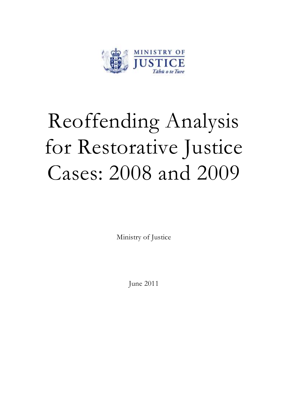

# Reoffending Analysis for Restorative Justice Cases: 2008 and 2009

Ministry of Justice

June 2011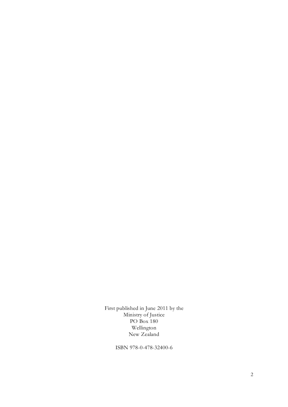First published in June 2011 by the Ministry of Justice PO Box 180 Wellington New Zealand

ISBN 978-0-478-32400-6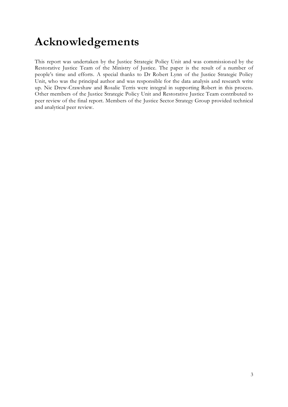## **Acknowledgements**

This report was undertaken by the Justice Strategic Policy Unit and was commission ed by the Restorative Justice Team of the Ministry of Justice. The paper is the result of a number of people's time and efforts. A special thanks to Dr Robert Lynn of the Justice Strategic Policy Unit, who was the principal author and was responsible for the data analysis and research write up. Nic Drew-Crawshaw and Rosalie Terris were integral in supporting Robert in this process. Other members of the Justice Strategic Policy Unit and Restorative Justice Team contributed to peer review of the final report. Members of the Justice Sector Strategy Group provided technical and analytical peer review.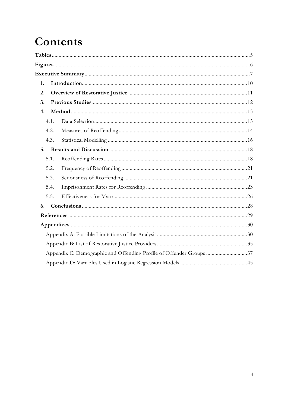## Contents

| 1.   |                                                                     |
|------|---------------------------------------------------------------------|
| 2.   |                                                                     |
| 3.   |                                                                     |
| 4.   |                                                                     |
| 4.1. |                                                                     |
| 4.2. |                                                                     |
| 4.3. |                                                                     |
|      |                                                                     |
| 5.1. |                                                                     |
| 5.2. |                                                                     |
| 5.3. |                                                                     |
| 5.4. |                                                                     |
| 5.5. |                                                                     |
| 6.   |                                                                     |
|      |                                                                     |
|      |                                                                     |
|      |                                                                     |
|      |                                                                     |
|      | Appendix C: Demographic and Offending Profile of Offender Groups 37 |
|      |                                                                     |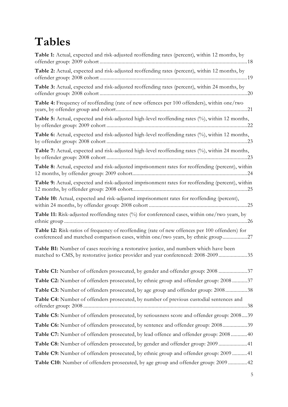## <span id="page-4-0"></span>**Tables**

| <b>Table 1:</b> Actual, expected and risk-adjusted reoffending rates (percent), within 12 months, by                                                                                |
|-------------------------------------------------------------------------------------------------------------------------------------------------------------------------------------|
| Table 2: Actual, expected and risk-adjusted reoffending rates (percent), within 12 months, by                                                                                       |
| Table 3: Actual, expected and risk-adjusted reoffending rates (percent), within 24 months, by                                                                                       |
| Table 4: Frequency of reoffending (rate of new offences per 100 offenders), within one/two                                                                                          |
| Table 5: Actual, expected and risk-adjusted high-level reoffending rates (%), within 12 months,                                                                                     |
| Table 6: Actual, expected and risk-adjusted high-level reoffending rates (%), within 12 months,                                                                                     |
| Table 7: Actual, expected and risk-adjusted high-level reoffending rates (%), within 24 months,                                                                                     |
| Table 8: Actual, expected and risk-adjusted imprisonment rates for reoffending (percent), within                                                                                    |
| Table 9: Actual, expected and risk-adjusted imprisonment rates for reoffending (percent), within                                                                                    |
| Table 10: Actual, expected and risk-adjusted imprisonment rates for reoffending (percent),                                                                                          |
| <b>Table 11:</b> Risk-adjusted reoffending rates $\frac{0}{0}$ for conferenced cases, within one/two years, by                                                                      |
| Table 12: Risk-ratios of frequency of reoffending (rate of new offences per 100 offenders) for<br>conferenced and matched comparison cases, within one/two years, by ethnic group27 |
| <b>Table B1:</b> Number of cases receiving a restorative justice, and numbers which have been<br>matched to CMS, by restorative justice provider and year conferenced: 2008-200935  |
| Table C1: Number of offenders prosecuted, by gender and offender group: 2008 37                                                                                                     |
| Table C2: Number of offenders prosecuted, by ethnic group and offender group: 200837                                                                                                |
| Table C3: Number of offenders prosecuted, by age group and offender group: 200838                                                                                                   |
| Table C4: Number of offenders prosecuted, by number of previous custodial sentences and                                                                                             |
| Table C5: Number of offenders prosecuted, by seriousness score and offender group: 200839                                                                                           |
| Table C6: Number of offenders prosecuted, by sentence and offender group: 200839                                                                                                    |
| Table C7: Number of offenders prosecuted, by lead offence and offender group: 200840                                                                                                |
| Table C8: Number of offenders prosecuted, by gender and offender group: 2009 41                                                                                                     |
| <b>Table C9:</b> Number of offenders prosecuted, by ethnic group and offender group: 2009 41                                                                                        |
| Table C10: Number of offenders prosecuted, by age group and offender group: 2009 42                                                                                                 |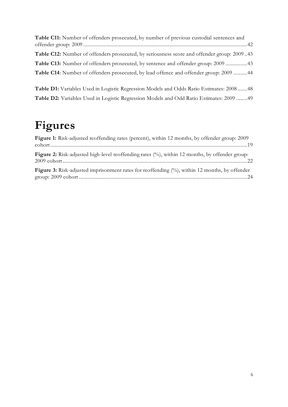| <b>Table C11:</b> Number of offenders prosecuted, by number of previous custodial sentences and |  |
|-------------------------------------------------------------------------------------------------|--|
|                                                                                                 |  |
| Table C12: Number of offenders prosecuted, by seriousness score and offender group: 200943      |  |
| Table C13: Number of offenders prosecuted, by sentence and offender group: 200943               |  |
| Table C14: Number of offenders prosecuted, by lead offence and offender group: 2009 44          |  |

**Table D1:** [Variables Used in Logistic Regression Models and Odds Ratio Estimates: 2008](#page-47-0) .......48 **Table D2:** [Variables Used in Logistic Regression Models and Odd Ratio Estimates: 2009](#page-48-0) ........49

## <span id="page-5-0"></span>**Figures**

| Figure 1: Risk-adjusted reoffending rates (percent), within 12 months, by offender group: 2009                                                                                                                                                                                                                                   |
|----------------------------------------------------------------------------------------------------------------------------------------------------------------------------------------------------------------------------------------------------------------------------------------------------------------------------------|
| Figure 2: Risk-adjusted high-level reoffending rates (%), within 12 months, by offender group:<br>22 metal content content content content content content content content content content content content content content content content content content content content content content content content content content conte |
| Figure 3: Risk-adjusted imprisonment rates for reoffending (%), within 12 months, by offender                                                                                                                                                                                                                                    |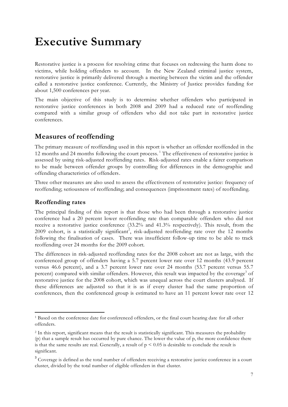## <span id="page-6-0"></span>**Executive Summary**

Restorative justice is a process for resolving crime that focuses on redressing the harm done to victims, while holding offenders to account. In the New Zealand criminal justice system, restorative justice is primarily delivered through a meeting between the victim and the offender called a restorative justice conference. Currently, the Ministry of Justice provides funding for about 1,500 conferences per year.

The main objective of this study is to determine whether offenders who participated in restorative justice conferences in both 2008 and 2009 had a reduced rate of reoffending compared with a similar group of offenders who did not take part in restorative justice conferences.

### **Measures of reoffending**

The primary measure of reoffending used in this report is whether an offender reoffended in the 12 months and 24 months following the court process.<sup>1</sup> The effectiveness of restorative justice is assessed by using risk-adjusted reoffending rates. Risk-adjusted rates enable a fairer comparison to be made between offender groups by controlling for differences in the demographic and offending characteristics of offenders.

Three other measures are also used to assess the effectiveness of restorative justice: frequency of reoffending; seriousness of reoffending; and consequences (imprisonment rates) of reoffending.

### **Reoffending rates**

 $\overline{a}$ 

The principal finding of this report is that those who had been through a restorative justice conference had a 20 percent lower reoffending rate than comparable offenders who did not receive a restorative justice conference (33.2% and 41.3% respectively). This result, from the 2009 cohort, is a statistically significant<sup>2</sup>, risk-adjusted reoffending rate over the 12 months following the finalisation of cases. There was insufficient follow-up time to be able to track reoffending over 24 months for the 2009 cohort.

The differences in risk-adjusted reoffending rates for the 2008 cohort are not as large, with the conferenced group of offenders having a 5.7 percent lower rate over 12 months (43.9 percent versus 46.6 percent), and a 3.7 percent lower rate over 24 months (53.7 percent versus 55.7 percent) compared with similar offenders. However, this result was impacted by the coverage<sup>3</sup> of restorative justice for the 2008 cohort, which was unequal across the court clusters analysed. If these differences are adjusted so that it is as if every cluster had the same proportion of conferences, then the conferenced group is estimated to have an 11 percent lower rate over 12

<sup>1</sup> Based on the conference date for conferenced offenders, or the final court hearing date for all other offenders.

<sup>&</sup>lt;sup>2</sup> In this report, significant means that the result is statistically significant. This measures the probability (p) that a sample result has occurred by pure chance. The lower the value of p, the more confidence there is that the same results are real. Generally, a result of  $p < 0.05$  is desirable to conclude the result is significant.

<sup>&</sup>lt;sup>3</sup> Coverage is defined as the total number of offenders receiving a restorative justice conference in a court cluster, divided by the total number of eligible offenders in that cluster.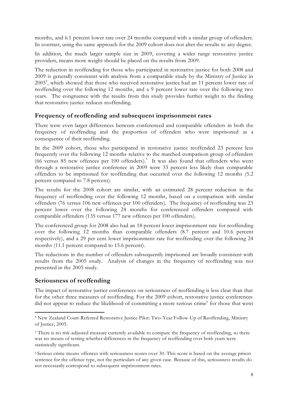months, and 6.1 percent lower rate over 24 months compared with a similar group of offenders. In contrast, using the same approach for the 2009 cohort does not alter the results to any degree.

In addition, the much larger sample size in 2009, covering a wider range restorative justice providers, means more weight should be placed on the results from 2009.

The reduction in reoffending for those who participated in restorative justice for both 2008 and 2009 is generally consistent with analysis from a comparable study by the Ministry of Justice in 2005<sup>4</sup>, which showed that those who received restorative justice had an 11 percent lower rate of reoffending over the following 12 months, and a 9 percent lower rate over the following two years. The congruence with the results from this study provides further weight to the finding that restorative justice reduces reoffending.

#### **Frequency of reoffending and subsequent imprisonment rates**

There were even larger differences between conferenced and comparable offenders in both the frequency of reoffending and the proportion of offenders who were imprisoned as a consequence of their reoffending.

In the 2009 cohort, those who participated in restorative justice reoffended 23 percent less frequently over the following 12 months relative to the matched comparison group of offenders (66 versus 85 new offences per 100 offenders). 5 It was also found that offenders who went through a restorative justice conference in 2009 were 33 percent less likely than comparable offenders to be imprisoned for reoffending that occurred over the following 12 months (5.2 percent compared to 7.8 percent).

The results for the 2008 cohort are similar, with an estimated 28 percent reduction in the frequency of reoffending over the following 12 months, based on a comparison with similar offenders (76 versus 106 new offences per 100 offenders). The frequency of reoffending was 23 percent lower over the following 24 months for conferenced offenders compared with comparable offenders (135 versus 177 new offences per 100 offenders).

The conferenced group for 2008 also had an 18 percent lower imprisonment rate for reoffending over the following 12 months than comparable offenders (8.7 percent and 10.6 percent respectively), and a 29 per cent lower imprisonment rate for reoffending over the following 24 months (11.1 percent compared to 15.6 percent).

The reductions in the number of offenders subsequently imprisoned are broadly consistent with results from the 2005 study. Analysis of changes in the frequency of reoffending was not presented in the 2005 study.

### **Seriousness of reoffending**

 $\overline{a}$ 

The impact of restorative justice conferences on seriousness of reoffending is less clear than that for the other three measures of reoffending. For the 2009 cohort, restorative justice conferences did not appear to reduce the likelihood of committing a more serious crime<sup>6</sup> for those that went

<sup>4</sup> New Zealand Court-Referred Restorative Justice Pilot: Two-Year Follow-Up of Reoffending, Ministry of Justice, 2005.

<sup>&</sup>lt;sup>5</sup> There is no risk-adjusted measure currently available to compare the frequency of reoffending, so there was no means of testing whether differences in the frequency of reoffending over both years were statistically significant.

<sup>6</sup> Serious crime means offences with seriousness scores over 30. This score is based on the average prison sentence for the offence type, not the particulars of any given case. Because of this, seriousness results do not necessarily correspond to subsequent imprisonment rates.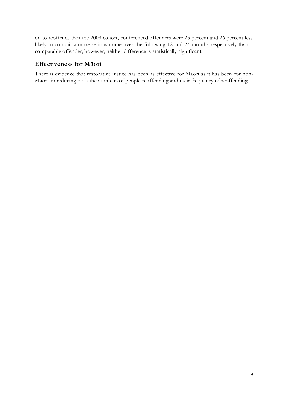on to reoffend. For the 2008 cohort, conferenced offenders were 23 percent and 26 percent less likely to commit a more serious crime over the following 12 and 24 months respectively than a comparable offender, however, neither difference is statistically significant.

### **Effectiveness for Māori**

There is evidence that restorative justice has been as effective for Māori as it has been for non-Māori, in reducing both the numbers of people reoffending and their frequency of reoffending.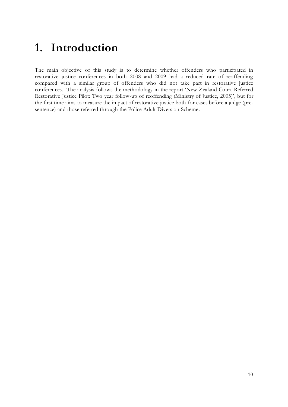## <span id="page-9-0"></span>**1. Introduction**

The main objective of this study is to determine whether offenders who participated in restorative justice conferences in both 2008 and 2009 had a reduced rate of reoffending compared with a similar group of offenders who did not take part in restorative justice conferences. The analysis follows the methodology in the report 'New Zealand Court-Referred Restorative Justice Pilot: Two year follow-up of reoffending (Ministry of Justice, 2005)', but for the first time aims to measure the impact of restorative justice both for cases before a judge (presentence) and those referred through the Police Adult Diversion Scheme.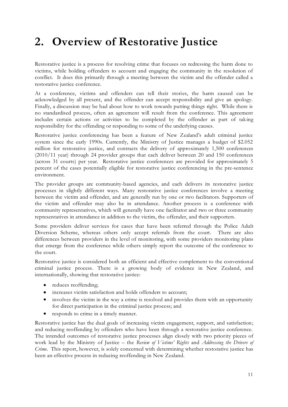## <span id="page-10-0"></span>**2. Overview of Restorative Justice**

Restorative justice is a process for resolving crime that focuses on redressing the harm done to victims, while holding offenders to account and engaging the community in the resolution of conflict. It does this primarily through a meeting between the victim and the offender called a restorative justice conference.

At a conference, victims and offenders can tell their stories, the harm caused can be acknowledged by all present, and the offender can accept responsibility and give an apology. Finally, a discussion may be had about how to work towards putting things right. While there is no standardised process, often an agreement will result from the conference. This agreement includes certain actions or activities to be completed by the offender as part of tak ing responsibility for the offending or responding to some of the underlying causes.

Restorative justice conferencing has been a feature of New Zealand's adult criminal justice system since the early 1990s. Currently, the Ministry of Justice manages a budget of \$2.052 million for restorative justice, and contracts the delivery of approximately 1,500 conferences (2010/11 year) through 24 provider groups that each deliver between 20 and 150 conferences (across 31 courts) per year. Restorative justice conferences are provided for approximately 5 percent of the cases potentially eligible for restorative justice conferencing in the pre-sentence environment.

The provider groups are community-based agencies, and each delivers its restorative justice processes in slightly different ways. Many restorative justice conferences involve a meeting between the victim and offender, and are generally run by one or two facilitators. Supporters of the victim and offender may also be in attendance. Another process is a conference with community representatives, which will generally have one facilitator and two or three community representatives in attendance in addition to the victim, the offender, and their supporters.

Some providers deliver services for cases that have been referred through the Police Adult Diversion Scheme, whereas others only accept referrals from the court. There are also differences between providers in the level of monitoring, with some providers monitoring plans that emerge from the conference while others simply report the outcome of the conference to the court.

Restorative justice is considered both an efficient and effective complement to the conventional criminal justice process. There is a growing body of evidence in New Zealand, and internationally, showing that restorative justice:

- reduces reoffending;
- increases victim satisfaction and holds offenders to account;
- involves the victim in the way a crime is resolved and provides them with an opportunity for direct participation in the criminal justice process; and
- responds to crime in a timely manner.

Restorative justice has the dual goals of increasing victim engagement, support, and satisfaction; and reducing reoffending by offenders who have been through a restorative justice conference. The intended outcomes of restorative justice processes align closely with two priority pieces of work lead by the Ministry of Justice – the *Review of Victims' Rights* and *Addressing the Drivers of Crime*. This report, however, is solely concerned with determining whether restorative justice has been an effective process in reducing reoffending in New Zealand.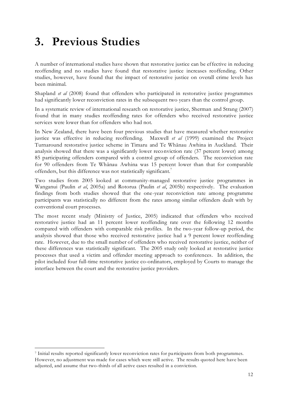## <span id="page-11-0"></span>**3. Previous Studies**

A number of international studies have shown that restorative justice can be effective in reducing reoffending and no studies have found that restorative justice increases reoffending. Other studies, however, have found that the impact of restorative justice on overall crime levels has been minimal.

Shapland *et al* (2008) found that offenders who participated in restorative justice programmes had significantly lower reconviction rates in the subsequent two years than the control group.

In a systematic review of international research on restorative justice, Sherman and Strang (2007) found that in many studies reoffending rates for offenders who received restorative justice services were lower than for offenders who had not.

In New Zealand, there have been four previous studies that have measured whether restorative justice was effective in reducing reoffending. Maxwell *et al* (1999) examined the Project Turnaround restorative justice scheme in Timaru and Te Whānau Awhina in Auckland. Their analysis showed that there was a significantly lower reconviction rate (37 percent lower) among 85 participating offenders compared with a control group of offenders. The reconviction rate for 90 offenders from Te Whānau Awhina was 15 percent lower than that for comparable offenders, but this difference was not statistically significant.<sup>7</sup>

Two studies from 2005 looked at community-managed restorative justice programmes in Wanganui (Paulin *et al*, 2005a) and Rotorua (Paulin *et al*, 2005b) respectively. The evaluation findings from both studies showed that the one-year reconviction rate among programme participants was statistically no different from the rates among similar offenders dealt with by conventional court processes.

The most recent study (Ministry of Justice, 2005) indicated that offenders who received restorative justice had an 11 percent lower reoffending rate over the following 12 months compared with offenders with comparable risk profiles. In the two-year follow-up period, the analysis showed that those who received restorative justice had a 9 percent lower reoffending rate. However, due to the small number of offenders who received restorative justice, neither of these differences was statistically significant. The 2005 study only looked at restorative justice processes that used a victim and offender meeting approach to conferences. In addition, the pilot included four full-time restorative justice co-ordinators, employed by Courts to manage the interface between the court and the restorative justice providers.

 $\overline{a}$ 

<sup>7</sup> Initial results reported significantly lower reconviction rates for pa rticipants from both programmes. However, no adjustment was made for cases which were still active. The results quoted here have been adjusted, and assume that two-thirds of all active cases resulted in a conviction.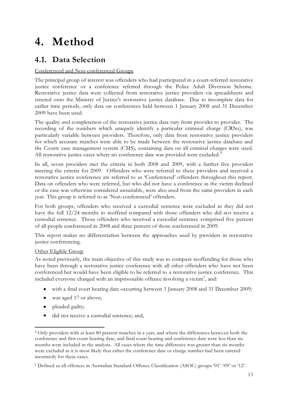## <span id="page-12-0"></span>**4. Method**

## <span id="page-12-1"></span>**4.1. Data Selection**

### Conferenced and Non-conferenced Groups

The principal group of interest was offenders who had participated in a court-referred restorative justice conference or a conference referred through the Police Adult Diversion Scheme. Restorative justice data were collected from restorative justice providers via spreadsheets and entered onto the Ministry of Justice's restorative justice database. Due to incomplete data for earlier time periods, only data on conferences held between 1 January 2008 and 31 December 2009 have been used.

The quality and completeness of the restorative justice data vary from provider to provider. The recording of the numbers which uniquely identify a particular criminal charge (CRNs), was particularly variable between providers. Therefore, only data from restorative justice providers for which accurate matches were able to be made between the restorative justice database and the Courts case management system (CMS), containing data on all criminal charges were used. All restorative justice cases where no conference date was provided were excluded.<sup>8</sup>

In all, seven providers met the criteria in both 2008 and 2009, with a further five providers meeting the criteria for 2009. Offenders who were referred to these providers and received a restorative justice conference are referred to as 'Conferenced' offenders throughout this report. Data on offenders who were referred, but who did not have a conference as the victim declined or the case was otherwise considered unsuitable, were also used from the same providers in each year. This group is referred to as 'Non-conferenced' offenders.

For both groups, offenders who received a custodial sentence were excluded as they did not have the full 12/24 months to reoffend compared with those offenders who did not receive a custodial sentence. Those offenders who received a custodial sentence comprised five percent of all people conferenced in 2008 and three percent of those conferenced in 2009.

This report makes no differentiation between the approaches used by providers in restorative justice conferencing.

#### Other Eligible Group

As noted previously, the main objective of this study was to compare reoffending for those who have been through a restorative justice conference with all other offenders who have not been conferenced but would have been eligible to be referred to a restorative justice conference. This included everyone charged with an imprisonable offence involving a victim<sup>9</sup>, and:

- with a final court hearing date occurring between 1 January 2008 and 31 December 2009;
- was aged 17 or above;
- pleaded guilty;

-

did not receive a custodial sentence; and,

<sup>8</sup> Only providers with at least 80 percent matches in a year, and where the differences betwe en both the conference and first court hearing date, and final court hearing and conference date were less than six months were included in the analysis. All cases where the time difference was greater than six months were excluded as it is most likely that either the conference date or charge number had been entered incorrectly for these cases.

<sup>9</sup> Defined as all offences in Australian Standard Offence Classification (ASOC) groups '01'-'09' or '12'.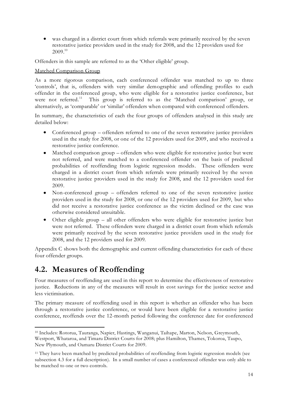was charged in a district court from which referrals were primarily received by the seven restorative justice providers used in the study for 2008, and the 12 providers used for 2009. 10

Offenders in this sample are referred to as the 'Other eligible' group.

#### Matched Comparison Group

As a more rigorous comparison, each conferenced offender was matched to up to three 'controls', that is, offenders with very similar demographic and offending profiles to each offender in the conferenced group, who were eligible for a restorative justice conference, but were not referred.<sup>11</sup> This group is referred to as the 'Matched comparison' group, or alternatively, as 'comparable' or 'similar' offenders when compared with conferenced offenders.

In summary, the characteristics of each the four groups of offenders analysed in this study are detailed below:

- $\bullet$ Conferenced group – offenders referred to one of the seven restorative justice providers used in the study for 2008, or one of the 12 providers used for 2009, and who received a restorative justice conference.
- Matched comparison group offenders who were eligible for restorative justice but were  $\bullet$ not referred, and were matched to a conferenced offender on the basis of predicted probabilities of reoffending from logistic regression models. These offenders were charged in a district court from which referrals were primarily received by the seven restorative justice providers used in the study for 2008, and the 12 providers used for 2009.
- Non-conferenced group offenders referred to one of the seven restorative justice  $\bullet$ providers used in the study for 2008, or one of the 12 providers used for 2009, but who did not receive a restorative justice conference as the victim declined or the case was otherwise considered unsuitable.
- Other eligible group all other offenders who were eligible for restorative justice but were not referred. These offenders were charged in a district court from which referrals were primarily received by the seven restorative justice providers used in the study for 2008, and the 12 providers used for 2009.

Appendix C shows both the demographic and current offending characteristics for each of these four offender groups.

## <span id="page-13-0"></span>**4.2. Measures of Reoffending**

-

Four measures of reoffending are used in this report to determine the effectiveness of restorative justice. Reductions in any of the measures will result in cost savings for the justice sector and less victimisation.

The primary measure of reoffending used in this report is whether an offender who has been through a restorative justice conference, or would have been eligible for a restorative justice conference, reoffends over the 12-month period following the conference date for conferenced

<sup>10</sup> Includes: Rotorua, Tauranga, Napier, Hastings, Wanganui, Taihape, Marton, Nelson, Greymouth, Westport, Whataroa, and Timaru District Courts for 2008; plus Hamilton, Thames, Tokoroa, Taupo, New Plymouth, and Oamaru District Courts for 2009.

<sup>11</sup> They have been matched by predicted probabilities of reoffending from logistic regression models (see subsection 4.3 for a full description). In a small number of cases a conferenced offender was only able to be matched to one or two controls.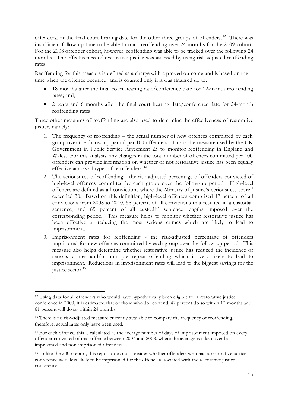offenders, or the final court hearing date for the other three groups of offenders.<sup>12</sup> There was insufficient follow-up time to be able to track reoffending over 24 months for the 2009 cohort. For the 2008 offender cohort, however, reoffending was able to be tracked over the following 24 months. The effectiveness of restorative justice was assessed by using risk-adjusted reoffending rates.

Reoffending for this measure is defined as a charge with a proved outcome and is based on the time when the offence occurred, and is counted only if it was finalised up to:

- 18 months after the final court hearing date/conference date for 12-month reoffending  $\bullet$ rates; and,
- 2 years and 6 months after the final court hearing date/conference date for 24-month reoffending rates.

Three other measures of reoffending are also used to determine the effectiveness of restorative justice, namely:

- 1. The frequency of reoffending the actual number of new offences committed by each group over the follow-up period per 100 offenders. This is the measure used by the UK Government in Public Service Agreement 23 to monitor reoffending in England and Wales. For this analysis, any changes in the total number of offences committed per 100 offenders can provide information on whether or not restorative justice has been equally effective across all types of re-offenders. <sup>13</sup>
- 2. The seriousness of reoffending the risk-adjusted percentage of offenders convicted of high-level offences committed by each group over the follow-up period. High-level offences are defined as all convictions where the Ministry of Justice's seriousness score<sup>14</sup> exceeded 30. Based on this definition, high-level offences comprised 17 percent of all convictions from 2008 to 2010, 58 percent of all convictions that resulted in a custodial sentence, and 85 percent of all custodial sentence lengths imposed over the corresponding period. This measure helps to monitor whether restorative justice has been effective at reducing the most serious crimes which are likely to lead to imprisonment.
- 3. Imprisonment rates for reoffending the risk-adjusted percentage of offenders imprisoned for new offences committed by each group over the follow-up period. This measure also helps determine whether restorative justice has reduced the incidence of serious crimes and/or multiple repeat offending which is very likely to lead to imprisonment. Reductions in imprisonment rates will lead to the biggest savings for the justice sector.<sup>15</sup>

<sup>-</sup><sup>12</sup> Using data for all offenders who would have hypothetically been eligible for a restorative justice conference in 2000, it is estimated that of those who do reoffend, 42 percent do so within 12 months and 61 percent will do so within 24 months.

<sup>&</sup>lt;sup>13</sup> There is no risk-adjusted measure currently available to compare the frequency of reoffending, therefore, actual rates only have been used.

<sup>14</sup> For each offence, this is calculated as the average number of days of imprisonment imposed on every offender convicted of that offence between 2004 and 2008, where the average is taken over both imprisoned and non-imprisoned offenders.

<sup>15</sup> Unlike the 2005 report, this report does not consider whether offenders who had a restorative justice conference were less likely to be imprisoned for the offence a ssociated with the restorative justice conference.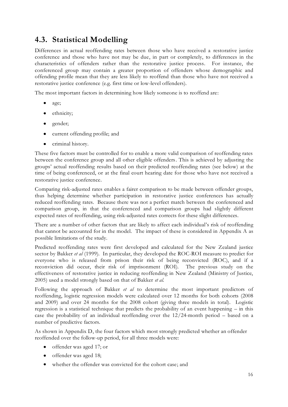## <span id="page-15-0"></span>**4.3. Statistical Modelling**

Differences in actual reoffending rates between those who have received a restorative justice conference and those who have not may be due, in part or completely, to differences in the characteristics of offenders rather than the restorative justice process. For instance, the conferenced group may contain a greater proportion of offenders whose demographic and offending profile mean that they are less likely to reoffend than those who have not received a restorative justice conference (e.g. first time or low-level offenders).

The most important factors in determining how likely someone is to reoffend are:

- $\bullet$ age;
- ethnicity;
- gender;
- current offending profile; and  $\bullet$
- criminal history.  $\bullet$

These five factors must be controlled for to enable a more valid comparison of reoffending rates between the conference group and all other eligible offenders. This is achieved by adjusting the groups' actual reoffending results based on their predicted reoffending rates (see below) at the time of being conferenced, or at the final court hearing date for those who have not received a restorative justice conference.

Comparing risk-adjusted rates enables a fairer comparison to be made between offender groups, thus helping determine whether participation in restorative justice conferences has actually reduced reoffending rates. Because there was not a perfect match between the conferenced and comparison group, in that the conferenced and comparison groups had slightly different expected rates of reoffending, using risk-adjusted rates corrects for these slight differences.

There are a number of other factors that are likely to affect each individual's risk of reoffending that cannot be accounted for in the model. The impact of these is considered in Appendix A as possible limitations of the study.

Predicted reoffending rates were first developed and calculated for the New Zealand justice sector by Bakker *et al* (1999). In particular, they developed the ROC-ROI measure to predict for everyone who is released from prison their risk of being reconvicted (ROC), and if a reconviction did occur, their risk of imprisonment (ROI). The previous study on the effectiveness of restorative justice in reducing reoffending in New Zealand (Ministry of Justice, 2005) used a model strongly based on that of Bakker *et al*.

Following the approach of Bakker *et al* to determine the most important predictors of reoffending, logistic regression models were calculated over 12 months for both cohorts (2008 and 2009) and over 24 months for the 2008 cohort (giving three models in total). Logistic regression is a statistical technique that predicts the probability of an event happening – in this case the probability of an individual reoffending over the 12/24-month period – based on a number of predictive factors.

As shown in Appendix D, the four factors which most strongly predicted whether an offender reoffended over the follow-up period, for all three models were:

- offender was aged 17; or
- offender was aged 18;
- whether the offender was convicted for the cohort case; and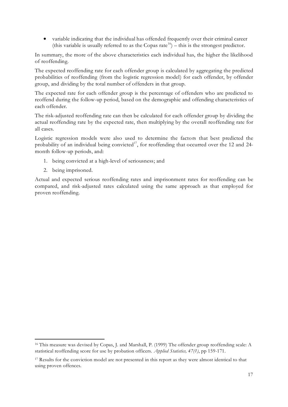variable indicating that the individual has offended frequently over their criminal career (this variable is usually referred to as the Copas rate<sup>16</sup>) – this is the strongest predictor.

In summary, the more of the above characteristics each individual has, the higher the likelihood of reoffending.

The expected reoffending rate for each offender group is calculated by aggregating the predicted probabilities of reoffending (from the logistic regression model) for each offender, by offender group, and dividing by the total number of offenders in that group.

The expected rate for each offender group is the percentage of offenders who are predicted to reoffend during the follow-up period, based on the demographic and offending characteristics of each offender.

The risk-adjusted reoffending rate can then be calculated for each offender group by dividing the actual reoffending rate by the expected rate, then multiplying by the overall reoffending rate for all cases.

Logistic regression models were also used to determine the factors that best predicted the probability of an individual being convicted<sup>17</sup>, for reoffending that occurred over the 12 and 24month follow-up periods, and:

- 1. being convicted at a high-level of seriousness; and
- 2. being imprisoned.

-

Actual and expected serious reoffending rates and imprisonment rates for reoffending can be compared, and risk-adjusted rates calculated using the same approach as that employed for proven reoffending.

<sup>16</sup> This measure was devised by Copas, J. and Marshall, P. (1999) The offender group reoffending scale: A statistical reoffending score for use by probation officers. *Applied Statistics, 47(1)*, pp 159-171.

<sup>&</sup>lt;sup>17</sup> Results for the conviction model are not presented in this report as they were almost identical to that using proven offences.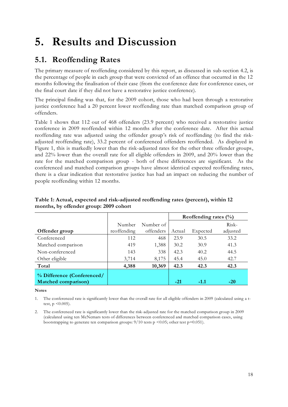## <span id="page-17-0"></span>**5. Results and Discussion**

## <span id="page-17-1"></span>**5.1. Reoffending Rates**

The primary measure of reoffending considered by this report, as discussed in sub-section 4.2, is the percentage of people in each group that were convicted of an offence that occurred in the 12 months following the finalisation of their case (from the conference date for conference cases, or the final court date if they did not have a restorative justice conference).

The principal finding was that, for the 2009 cohort, those who had been through a restorative justice conference had a 20 percent lower reoffending rate than matched comparison group of offenders.

Table 1 shows that 112 out of 468 offenders (23.9 percent) who received a restorative justice conference in 2009 reoffended within 12 months after the conference date. After this actual reoffending rate was adjusted using the offender group's risk of reoffending (to find the riskadjusted reoffending rate), 33.2 percent of conferenced offenders reoffended. As displayed in Figure 1, this is markedly lower than the risk-adjusted rates for the other three offender groups, and 22% lower than the overall rate for all eligible offenders in 2009, and 20% lower than the rate for the matched comparison group - both of these differences are significant. As the conferenced and matched comparison groups have almost identical expected reoffending rates, there is a clear indication that restorative justice has had an impact on reducing the number of people reoffending within 12 months.

|                                                           |             |           | Reoffending rates $(\%)$ |          |          |
|-----------------------------------------------------------|-------------|-----------|--------------------------|----------|----------|
|                                                           | Number      | Number of |                          |          | $Risk-$  |
| Offender group                                            | reoffending | offenders | Actual                   | Expected | adjusted |
| Conferenced                                               | 112         | 468       | 23.9                     | 30.5     | 33.2     |
| Matched comparison                                        | 419         | 1,388     | 30.2                     | 30.9     | 41.3     |
| Non-conferenced                                           | 143         | 338       | 42.3                     | 40.2     | 44.5     |
| Other eligible                                            | 3,714       | 8,175     | 45.4                     | 45.0     | 42.7     |
| Total                                                     | 4,388       | 10,369    | 42.3                     | 42.3     | 42.3     |
| % Difference (Conferenced/<br><b>Matched comparison</b> ) |             |           | $-21$                    | $-1.1$   | $-20$    |

#### <span id="page-17-2"></span>**Table 1: Actual, expected and risk-adjusted reoffending rates (percent), within 12 months, by offender group: 2009 cohort**

#### **Notes**

The conferenced rate is significantly lower than the overall rate for all eligible offenders in 2009 (calculated using a ttest,  $p \leq 0.005$ ).

2. The conferenced rate is significantly lower than the risk-adjusted rate for the matched comparison group in 2009 (calculated using ten McNemars tests of differences between conferenced and matched comparison cases, using bootstrapping to generate ten comparison groups:  $9/10$  tests p <0.05; other test p=0.051).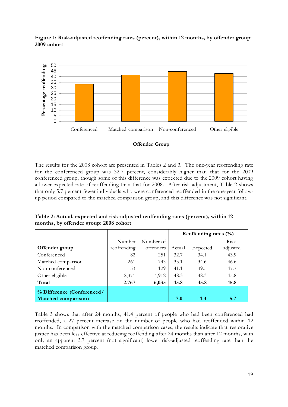<span id="page-18-1"></span>



#### **Offender Group**

The results for the 2008 cohort are presented in Tables 2 and 3. The one-year reoffending rate for the conferenced group was 32.7 percent, considerably higher than that for the 2009 conferenced group, though some of this difference was expected due to the 2009 cohort having a lower expected rate of reoffending than that for 2008. After risk-adjustment, Table 2 shows that only 5.7 percent fewer individuals who were conferenced reoffended in the one-year followup period compared to the matched comparison group, and this difference was not significant.

<span id="page-18-0"></span>**Table 2: Actual, expected and risk-adjusted reoffending rates (percent), within 12 months, by offender group: 2008 cohort**

|                             |             |           | Reoffending rates $(\%$ |          |          |
|-----------------------------|-------------|-----------|-------------------------|----------|----------|
|                             | Number      | Number of |                         |          | $Risk-$  |
| Offender group              | reoffending | offenders | Actual                  | Expected | adjusted |
| Conferenced                 | 82          | 251       | 32.7                    | 34.1     | 43.9     |
| Matched comparison          | 261         | 743       | 35.1                    | 34.6     | 46.6     |
| Non-conferenced             | 53          | 129       | 41.1                    | 39.5     | 47.7     |
| Other eligible              | 2,371       | 4,912     | 48.3                    | 48.3     | 45.8     |
| Total                       | 2,767       | 6,035     | 45.8                    | 45.8     | 45.8     |
| % Difference (Conferenced/  |             |           |                         |          |          |
| <b>Matched comparison</b> ) |             |           | $-7.0$                  | $-1.3$   | $-5.7$   |

Table 3 shows that after 24 months, 41.4 percent of people who had been conferenced had reoffended, a 27 percent increase on the number of people who had reoffended within 12 months. In comparison with the matched comparison cases, the results indicate that restorative justice has been less effective at reducing reoffending after 24 months than after 12 months, with only an apparent 3.7 percent (not significant) lower risk-adjusted reoffending rate than the matched comparison group.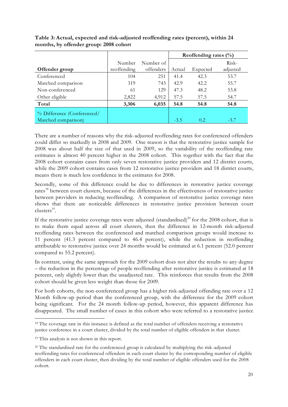|                            |             |           | Reoffending rates $(\%)$ |          |          |
|----------------------------|-------------|-----------|--------------------------|----------|----------|
|                            | Number      | Number of |                          |          | Risk-    |
| Offender group             | reoffending | offenders | Actual                   | Expected | adjusted |
| Conferenced                | 104         | 251       | 41.4                     | 42.3     | 53.7     |
| Matched comparison         | 319         | 743       | 42.9                     | 42.2     | 55.7     |
| Non-conferenced            | 61          | 129       | 47.3                     | 48.2     | 53.8     |
| Other eligible             | 2,822       | 4,912     | 57.5                     | 57.5     | 54.7     |
| Total                      | 3,306       | 6,035     | 54.8                     | 54.8     | 54.8     |
| % Difference (Conferenced/ |             |           |                          |          |          |
| Matched comparison)        |             |           | $-3.5$                   | 0.2      | $-3.7$   |

<span id="page-19-0"></span>**Table 3: Actual, expected and risk-adjusted reoffending rates (percent), within 24 months, by offender group: 2008 cohort**

There are a number of reasons why the risk-adjusted reoffending rates for conferenced offenders could differ so markedly in 2008 and 2009. One reason is that the restorative justice sample for 2008 was about half the size of that used in 2009, so the variability of the reoffending rate estimates is almost 40 percent higher in the 2008 cohort. This together with the fact that the 2008 cohort contains cases from only seven restorative justice providers and 12 district courts, while the 2009 cohort contains cases from 12 restorative justice providers and 18 district courts, means there is much less confidence in the estimates for 2008.

Secondly, some of this difference could be due to differences in restorative justice coverage rates<sup>18</sup> between court clusters, because of the differences in the effectiveness of restorative justice between providers in reducing reoffending. A comparison of restorative justice coverage rates shows that there are noticeable differences in restorative justice provision between court clusters<sup>19</sup>.

If the restorative justice coverage rates were adjusted (standardised)<sup>20</sup> for the 2008 cohort, that is to make them equal across all court clusters, then the difference in 12-month risk-adjusted reoffending rates between the conferenced and matched comparison groups would increase to 11 percent (41.3 percent compared to 46.4 percent), while the reduction in reoffending attributable to restorative justice over 24 months would be estimated at 6.1 percent (52.0 percent compared to 55.2 percent).

In contrast, using the same approach for the 2009 cohort does not alter the results to any degree – the reduction in the percentage of people reoffending after restorative justice is estimated at 18 percent, only slightly lower than the unadjusted rate. This reinforces that results from the 2008 cohort should be given less weight than those for 2009.

For both cohorts, the non-conferenced group has a higher risk-adjusted offending rate over a 12 Month follow-up period than the conferenced group, with the difference for the 2009 cohort being significant. For the 24 month follow-up period, however, this apparent difference has disappeared. The small number of cases in this cohort who were referred to a restorative justice

-

<sup>&</sup>lt;sup>18</sup> The coverage rate in this instance is defined as the total number of offenders receiving a restorative justice conference in a court cluster, divided by the total number of eligible offenders in that cluster.

<sup>19</sup> This analysis is not shown in this report.

<sup>&</sup>lt;sup>20</sup> The standardised rate for the conferenced group is calculated by multiplying the risk-adjusted reoffending rates for conferenced offenders in each court cluster by the corresponding number of eligible offenders in each court cluster, then dividing by the total number of eligible offenders used for the 2008 cohort.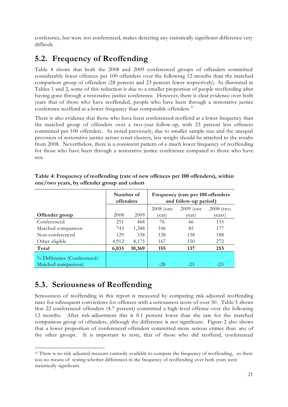conference, but were not conferenced, makes detecting any statistically significant difference very difficult.

## <span id="page-20-0"></span>**5.2. Frequency of Reoffending**

Table 4 shows that both the 2008 and 2009 conferenced groups of offenders committed considerably fewer offences per 100 offenders over the following 12 months than the matched comparison group of offenders (28 percent and 23 percent fewer respectively). As illustrated in Tables 1 and 2, some of this reduction is due to a smaller proportion of people reoffending after having gone through a restorative justice conference. However, there is clear evidence over both years that of those who have reoffended, people who have been through a restorative justice conference reoffend at a lower frequency than comparable offenders.<sup>21</sup>

There is also evidence that those who have been conferenced reoffend at a lower frequency than the matched group of offenders over a two-year follow-up, with 23 percent less offences committed per 100 offenders. As noted previously, due to smaller sample size and the unequal provision of restorative justice across court clusters, less weight should be attached to the results from 2008. Nevertheless, there is a consistent pattern of a much lower frequency of reoffending for those who have been through a restorative justice conference compared to those who have not.

|                                                   | Number of<br>offenders |        | Frequency (rate per 100 offenders<br>and follow-up period) |             |             |  |
|---------------------------------------------------|------------------------|--------|------------------------------------------------------------|-------------|-------------|--|
|                                                   |                        |        | $2008$ (one                                                | $2009$ (one | $2008$ (two |  |
| Offender group                                    | 2008                   | 2009   | year)                                                      | year)       | years)      |  |
| Conferenced                                       | 251                    | 468    | 76                                                         | 66          | 135         |  |
| Matched comparison                                | 743                    | 1,388  | 106                                                        | 85          | 177         |  |
| Non-conferenced                                   | 129                    | 338    | 128                                                        | 138         | 188         |  |
| Other eligible                                    | 4,912                  | 8,175  | 167                                                        | 150         | 272         |  |
| Total                                             | 6,035                  | 10,369 | 155                                                        | 137         | 253         |  |
| % Difference (Conferenced/<br>Matched comparison) |                        |        | $-28$                                                      | $-23$       | $-23$       |  |

<span id="page-20-2"></span>**Table 4: Frequency of reoffending (rate of new offences per 100 offenders), within one/two years, by offender group and cohort**

### <span id="page-20-1"></span>**5.3. Seriousness of Reoffending**

 $\overline{a}$ 

Seriousness of reoffending in this report is measured by comparing risk-adjusted reoffending rates for subsequent convictions for offences with a seriousness score of over 30. Table 5 shows that 22 conferenced offenders (4.7 percent) committed a high-level offence over the following 12 months. After risk-adjustment this is 8.1 percent lower than the rate for the matched comparison group of offenders, although the difference is not significant. Figure 2 also shows that a lower proportion of conferenced offenders committed more serious crimes than any of the other groups. It is important to note, that of those who did reoffend, conferenced

<sup>&</sup>lt;sup>21</sup> There is no risk-adjusted measure currently available to compare the frequency of reoffending, so there was no means of testing whether differences in the frequency of reoffending over both years were statistically significant.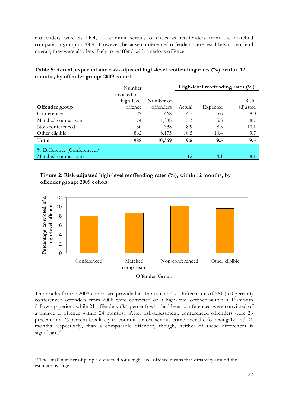reoffenders were as likely to commit serious offences as reoffenders from the matched comparison group in 2009. However, because conferenced offenders were less likely to reoffend overall, they were also less likely to reoffend with a serious offence.

|                            | Number         |           |        | High-level reoffending rates $(\% )$ |          |
|----------------------------|----------------|-----------|--------|--------------------------------------|----------|
|                            | convicted of a |           |        |                                      |          |
|                            | high-level     | Number of |        |                                      | Risk-    |
| Offender group             | offence        | offenders | Actual | Expected                             | adjusted |
| Conferenced                | 22             | 468       | 4.7    | 5.6                                  | 8.0      |
| Matched comparison         | 74             | 1,388     | 5.3    | 5.8                                  | 8.7      |
| Non-conferenced            | 30             | 338       | 8.9    | 8.3                                  | 10.1     |
| Other eligible             | 862            | 8,175     | 10.5   | 10.4                                 | 9.7      |
| Total                      | 988            | 10,369    | 9.5    | 9.5                                  | 9.5      |
| % Difference (Conferenced/ |                |           |        |                                      |          |
| Matched comparison)        |                |           | $-12$  | $-4.1$                               | -8.1     |

<span id="page-21-0"></span>**Table 5: Actual, expected and risk-adjusted high-level reoffending rates (%), within 12 months, by offender group: 2009 cohort**

**Figure 2: Risk-adjusted high-level reoffending rates (%), within 12 months, by offender group: 2009 cohort**



#### **Offender Group**

The results for the 2008 cohort are provided in Tables 6 and 7. Fifteen out of 251 (6.0 percent) conferenced offenders from 2008 were convicted of a high-level offence within a 12-month follow-up period, while 21 offenders (8.4 percent) who had been conferenced were convicted of a high-level offence within 24 months. After risk-adjustment, conferenced offenders were 23 percent and 26 percent less likely to commit a more serious crime over the following 12 and 24 months respectively, than a comparable offender, though, neither of these differences is significant. $^{22}$ 

-

<sup>&</sup>lt;sup>22</sup> The small number of people convicted for a high-level offence means that variability around the estimates is large.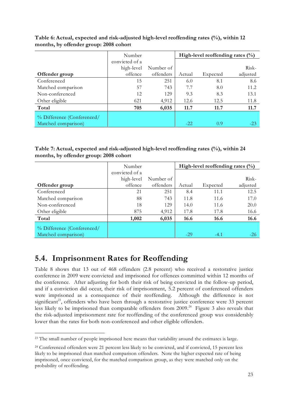|                            | Number         |           | High-level reoffending rates $(\% )$ |          |          |
|----------------------------|----------------|-----------|--------------------------------------|----------|----------|
|                            | convicted of a |           |                                      |          |          |
|                            | high-level     | Number of |                                      |          | Risk-    |
| Offender group             | offence        | offenders | Actual                               | Expected | adjusted |
| Conferenced                | 15             | 251       | 6.0                                  | 8.1      | 8.6      |
| Matched comparison         | 57             | 743       | 7.7                                  | 8.0      | 11.2     |
| Non-conferenced            | 12             | 129       | 9.3                                  | 8.3      | 13.1     |
| Other eligible             | 621            | 4,912     | 12.6                                 | 12.5     | 11.8     |
| Total                      | 705            | 6,035     | 11.7                                 | 11.7     | 11.7     |
| % Difference (Conferenced/ |                |           |                                      |          |          |
| Matched comparison)        |                |           | $-2.2$                               | 0.9      | $-23$    |

<span id="page-22-1"></span>**Table 6: Actual, expected and risk-adjusted high-level reoffending rates (%), within 12 months, by offender group: 2008 cohort**

<span id="page-22-2"></span>**Table 7: Actual, expected and risk-adjusted high-level reoffending rates (%), within 24 months, by offender group: 2008 cohort**

|                            | Number         |           |        | High-level reoffending rates $(\% )$ |          |
|----------------------------|----------------|-----------|--------|--------------------------------------|----------|
|                            | convicted of a |           |        |                                      |          |
|                            | high-level     | Number of |        |                                      | Risk-    |
| Offender group             | offence        | offenders | Actual | Expected                             | adjusted |
| Conferenced                | 21             | 251       | 8.4    | 11.1                                 | 12.5     |
| Matched comparison         | 88             | 743       | 11.8   | 11.6                                 | 17.0     |
| Non-conferenced            | 18             | 129       | 14.0   | 11.6                                 | 20.0     |
| Other eligible             | 875            | 4,912     | 17.8   | 17.8                                 | 16.6     |
| Total                      | 1,002          | 6,035     | 16.6   | 16.6                                 | 16.6     |
| % Difference (Conferenced/ |                |           |        |                                      |          |
| Matched comparison)        |                |           | $-29$  | $-4.1$                               | $-26$    |

## <span id="page-22-0"></span>**5.4. Imprisonment Rates for Reoffending**

-

Table 8 shows that 13 out of 468 offenders (2.8 percent) who received a restorative justice conference in 2009 were convicted and imprisoned for offences committed within 12 months of the conference. After adjusting for both their risk of being convicted in the follow-up period, and if a conviction did occur, their risk of imprisonment, 5.2 percent of conferenced offenders were imprisoned as a consequence of their reoffending. Although the difference is not significant<sup>23</sup>, offenders who have been through a restorative justice conference were 33 percent less likely to be imprisoned than comparable offenders from 2009.<sup>24</sup> Figure 3 also reveals that the risk-adjusted imprisonment rate for reoffending of the conferenced group was considerably lower than the rates for both non-conferenced and other eligible offenders.

<sup>&</sup>lt;sup>23</sup> The small number of people imprisoned here means that variability around the estimates is large.

<sup>24</sup> Conferenced offenders were 21 percent less likely to be convicted, and if convicted, 15 percent less likely to be imprisoned than matched comparison offenders. Note the higher expected rate of being imprisoned, once convicted, for the matched comparison group, as they were matched only on the probability of reoffending.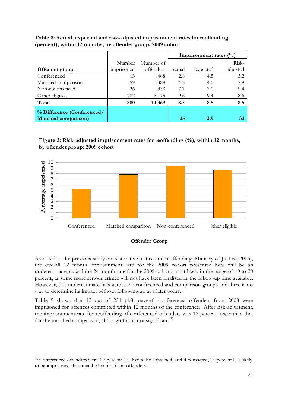|                                                           |            |           | Imprisonment rates $(\%)$ |          |          |
|-----------------------------------------------------------|------------|-----------|---------------------------|----------|----------|
|                                                           | Number     | Number of |                           |          | Risk-    |
| Offender group                                            | imprisoned | offenders | Actual                    | Expected | adjusted |
| Conferenced                                               | 13         | 468       | 2.8                       | 4.5      | 5.2      |
| Matched comparison                                        | 59         | 1,388     | 4.3                       | 4.6      | 7.8      |
| Non-conferenced                                           | 26         | 338       | 7.7                       | 7.0      | 9.4      |
| Other eligible                                            | 782        | 8,175     | 9.6                       | 9.4      | 8.6      |
| Total                                                     | 880        | 10,369    | 8.5                       | 8.5      | 8.5      |
| % Difference (Conferenced/<br><b>Matched comparison</b> ) |            |           | $-35$                     | $-2.9$   | -33      |

<span id="page-23-0"></span>**Table 8: Actual, expected and risk-adjusted imprisonment rates for reoffending (percent), within 12 months, by offender group: 2009 cohort**

**Figure 3: Risk-adjusted imprisonment rates for reoffending (%), within 12 months, by offender group: 2009 cohort**





As noted in the previous study on restorative justice and reoffending (Ministry of Justice, 2005), the overall 12 month imprisonment rate for the 2009 cohort presented here will be an underestimate, as will the 24 month rate for the 2008 cohort, most likely in the range of 10 to 20 percent, as some more serious crimes will not have been finalised in the follow-up time available. However, this underestimate falls across the conferenced and comparison groups and there is no way to determine its impact without following up at a later point.

Table 9 shows that 12 out of 251 (4.8 percent) conferenced offenders from 2008 were imprisoned for offences committed within 12 months of the conference. After risk-adjustment, the imprisonment rate for reoffending of conferenced offenders was 18 percent lower than that for the matched comparison, although this is not significant.<sup>25</sup>

-

<sup>&</sup>lt;sup>25</sup> Conferenced offenders were 4.7 percent less like to be convicted, and if convicted, 14 percent less likely to be imprisoned than matched comparison offenders.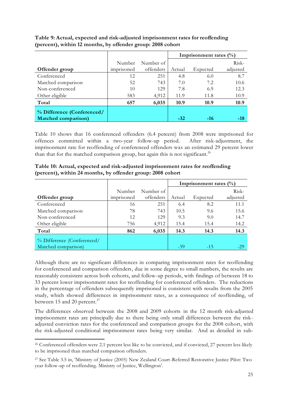|                                                           |            |           |        | Imprisonment rates $(\%)$ |          |
|-----------------------------------------------------------|------------|-----------|--------|---------------------------|----------|
|                                                           | Number     | Number of |        |                           | Risk-    |
| Offender group                                            | imprisoned | offenders | Actual | Expected                  | adjusted |
| Conferenced                                               | 12         | 251       | 4.8    | 6.0                       | 8.7      |
| Matched comparison                                        | 52         | 743       | 7.0    | 7.2                       | 10.6     |
| Non-conferenced                                           | 10         | 129       | 7.8    | 6.9                       | 12.3     |
| Other eligible                                            | 583        | 4,912     | 11.9   | 11.8                      | 10.9     |
| Total                                                     | 657        | 6,035     | 10.9   | 10.9                      | 10.9     |
| % Difference (Conferenced/<br><b>Matched comparison</b> ) |            |           | $-32$  | $-16$                     | -18      |

<span id="page-24-0"></span>**Table 9: Actual, expected and risk-adjusted imprisonment rates for reoffending (percent), within 12 months, by offender group: 2008 cohort**

Table 10 shows that 16 conferenced offenders (6.4 percent) from 2008 were imprisoned for offences committed within a two-year follow-up period. After risk-adjustment, the imprisonment rate for reoffending of conferenced offenders was an estimated 29 percent lower than that for the matched comparison group, but again this is not significant.<sup>26</sup>

|                                                   |            |           |        | Imprisonment rates $(\%)$ |          |
|---------------------------------------------------|------------|-----------|--------|---------------------------|----------|
|                                                   | Number     | Number of |        |                           | Risk-    |
| Offender group                                    | imprisoned | offenders | Actual | Expected                  | adjusted |
| Conferenced                                       | 16         | 251       | 6.4    | 8.2                       | 11.1     |
| Matched comparison                                | 78         | 743       | 10.5   | 9.6                       | 15.6     |
| Non-conferenced                                   | 12         | 129       | 9.3    | 9.0                       | 14.7     |
| Other eligible                                    | 756        | 4,912     | 15.4   | 15.4                      | 14.2     |
| Total                                             | 862        | 6,035     | 14.3   | 14.3                      | 14.3     |
| % Difference (Conferenced/<br>Matched comparison) |            |           | $-39$  | $-1.5$                    | $-2.9$   |

<span id="page-24-1"></span>**Table 10: Actual, expected and risk-adjusted imprisonment rates for reoffending (percent), within 24 months, by offender group: 2008 cohort**

Although there are no significant differences in comparing imprisonment rates for reoffending for conferenced and comparison offenders, due in some degree to small numbers, the results are reasonably consistent across both cohorts, and follow-up periods, with findings of between 18 to 33 percent lower imprisonment rates for reoffending for conferenced offenders. The reductions in the percentage of offenders subsequently imprisoned is consistent with results from the 2005 study, which showed differences in imprisonment rates, as a consequence of reoffending, of between 15 and 20 percent.<sup>27</sup>

The differences observed between the 2008 and 2009 cohorts in the 12 month risk-adjusted imprisonment rates are principally due to there being only small differences between the riskadjusted conviction rates for the conferenced and comparison groups for the 2008 cohort, with the risk-adjusted conditional imprisonment rates being very similar. And as detailed in sub-

-

<sup>26</sup> Conferenced offenders were 2.1 percent less like to be convicted, and if convicted, 27 percent less likely to be imprisoned than matched comparison offenders.

<sup>27</sup> See Table 3.5 in, 'Ministry of Justice (2005) New Zealand Court-Referred Restorative Justice Pilot: Two year follow-up of reoffending. Ministry of Justice, Wellington'.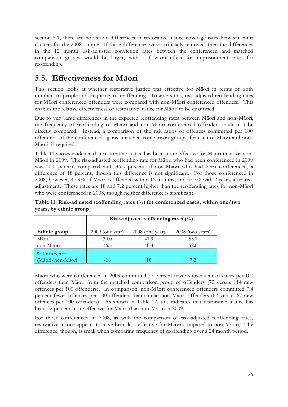section 5.1, there are noticeable differences in restorative justice coverage rates between court clusters for the 2008 sample. If these differences were artificially removed, then the differences in the 12 month risk-adjusted conviction rates between the conferenced and matched comparison groups would be larger, with a flow-on effect for imprisonment rates for reoffending.

## <span id="page-25-0"></span>**5.5. Effectiveness for Māori**

This section looks at whether restorative justice was effective for Māori in terms of both numbers of people and frequency of reoffending. To assess this, risk-adjusted reoffending rates for Māori conferenced offenders were compared with non-Māori conferenced offenders. This enables the relative effectiveness of restorative justice for Māori to be quantified.

Due to very large differences in the expected reoffending rates between Māori and non-Māori, the frequency of reoffending of Māori and non-Māori conferenced offenders could not be directly compared. Instead, a comparison of the risk ratios of offences committed per 100 offenders, of the conferenced against matched comparison groups, for each of Māori and non-Māori, is required.

Table 11 shows evidence that restorative justice has been more effective for Māori than for non-Māori in 2009. The risk-adjusted reoffending rate for Māori who had been conferenced in 2009 was 30.0 percent compared with 36.5 percent of non-Māori who had been conferenced, a difference of 18 percent, though this difference is not significant. For those conferenced in 2008, however, 47.9% of Māori reoffended within 12 months, and 55.7% with 2 years, after risk adjustment. These rates are 18 and 7.2 percent higher than the reoffending rates for non-Māori who were conferenced in 2008, though neither difference is significant.

|                                     |                   | Risk-adjusted reoffending rates $(\%)$ |                  |  |  |  |  |  |  |  |
|-------------------------------------|-------------------|----------------------------------------|------------------|--|--|--|--|--|--|--|
| Ethnic group                        | $2009$ (one year) | $2008$ (one year)                      | 2008 (two years) |  |  |  |  |  |  |  |
| Māori                               | 30.0              | 47.9                                   | 55.7             |  |  |  |  |  |  |  |
| non-Māori                           | 36.5              | 40.4                                   | 52.0             |  |  |  |  |  |  |  |
| $\%$ Difference<br>(Māori/non-Māori | $-18$             |                                        |                  |  |  |  |  |  |  |  |

<span id="page-25-1"></span>**Table 11: Risk-adjusted reoffending rates (%) for conferenced cases, within one/two years, by ethnic group**

Māori who were conferenced in 2009 committed 37 percent fewer subsequent offences per 100 offenders than Māori from the matched comparison group of offenders (72 versus 114 new offences per 100 offenders). In comparison, non-Māori conferenced offenders committed 7.4 percent fewer offences per 100 offenders than similar non-Māori offenders (62 versus 67 new offences per 100 offenders). As shown in Table 12, this indicates that restorative justice has been 32 percent more effective for Māori than non-Māori in 2009.

For those conferenced in 2008, as with the comparison of risk-adjusted reoffending rates, restorative justice appears to have been less effective for Māori compared to non -Māori. The difference, though, is small when comparing frequency of reoffending over a 24 month period.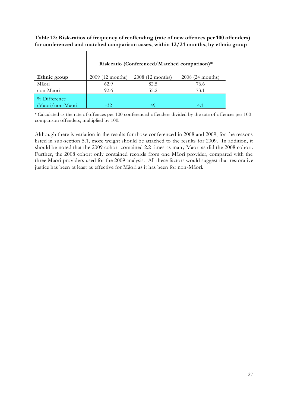<span id="page-26-0"></span>**Table 12: Risk-ratios of frequency of reoffending (rate of new offences per 100 offenders) for conferenced and matched comparison cases, within 12/24 months, by ethnic group**

|                                  |                  | Risk ratio (Conferenced/Matched comparison)* |                   |
|----------------------------------|------------------|----------------------------------------------|-------------------|
| Ethnic group                     | 2009 (12 months) | 2008 (12 months)                             | $2008(24$ months) |
| Māori                            | 62.9             | 82.5                                         | 76.6              |
| non-Māori                        | 92.6             | 55.2                                         | 73.1              |
| % Difference<br>(Māori/non-Māori | $-32.$           | 49                                           | 4.                |

┱

\* Calculated as the rate of offences per 100 conferenced offenders divided by the rate of offences per 100 comparison offenders, multiplied by 100.

Although there is variation in the results for those conferenced in 2008 and 2009, for the reasons listed in sub-section 5.1, more weight should be attached to the results for 2009. In addition, it should be noted that the 2009 cohort contained 2.2 times as many Māori as did the 2008 cohort. Further, the 2008 cohort only contained records from one Māori provider, compared with the three Māori providers used for the 2009 analysis. All these factors would suggest that restorative justice has been at least as effective for Māori as it has been for non-Māori.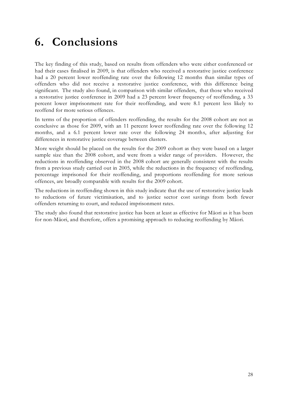## <span id="page-27-0"></span>**6. Conclusions**

The key finding of this study, based on results from offenders who were either conferenced or had their cases finalised in 2009, is that offenders who received a restorative justice conference had a 20 percent lower reoffending rate over the following 12 months than similar types of offenders who did not receive a restorative justice conference, with this difference being significant. The study also found, in comparison with similar offenders, that those who received a restorative justice conference in 2009 had a 23 percent lower frequency of reoffending, a 33 percent lower imprisonment rate for their reoffending, and were 8.1 percent less likely to reoffend for more serious offences.

In terms of the proportion of offenders reoffending, the results for the 2008 cohort are not as conclusive as those for 2009, with an 11 percent lower reoffending rate over the following 12 months, and a 6.1 percent lower rate over the following 24 months, after adjusting for differences in restorative justice coverage between clusters.

More weight should be placed on the results for the 2009 cohort as they were based on a larger sample size than the 2008 cohort, and were from a wider range of providers. However, the reductions in reoffending observed in the 2008 cohort are generally consistent with the results from a previous study carried out in 2005, while the reductions in the frequency of reoffending, percentage imprisoned for their reoffending, and proportions reoffending for more serious offences, are broadly comparable with results for the 2009 cohort.

The reductions in reoffending shown in this study indicate that the use of restorative justice leads to reductions of future victimisation, and to justice sector cost savings from both fewer offenders returning to court, and reduced imprisonment rates.

The study also found that restorative justice has been at least as effective for Māori as it has been for non-Māori, and therefore, offers a promising approach to reducing reoffending by Māori.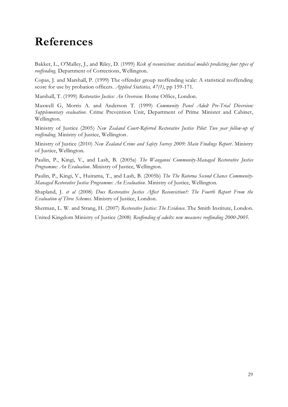## <span id="page-28-0"></span>**References**

Bakker, L., O'Malley, J., and Riley, D. (1999) *Risk of reconviction: statistical models predicting four types of reoffending*. Department of Corrections, Wellington.

Copas, J. and Marshall, P. (1999) The offender group reoffending scale: A statistical reoffending score for use by probation officers. *Applied Statistics, 47(1)*, pp 159-171.

Marshall, T. (1999) *Restorative Justice: An Overview*. Home Office, London.

Maxwell G, Morris A. and Anderson T. (1999) *Community Panel Adult Pre-Trial Diversion: Supplementary evaluation*. Crime Prevention Unit, Department of Prime Minister and Cabinet, Wellington.

Ministry of Justice (2005) *New Zealand Court-Referred Restorative Justice Pilot: Two year follow-up of reoffending*. Ministry of Justice, Wellington.

Ministry of Justice (2010) *New Zealand Crime and Safety Survey 2009: Main Findings Report*. Ministry of Justice, Wellington.

Paulin, P., Kingi, V., and Lash, B. (2005a) *The Wanganui Community-Managed Restorative Justice Programme: An Evaluation*. Ministry of Justice, Wellington.

Paulin, P., Kingi, V., Huirama, T., and Lash, B. (2005b) *The The Rotorua Second Chance Community-Managed Restorative Justice Programme: An Evaluation*. Ministry of Justice, Wellington.

Shapland, J. *et al* (2008) *Does Restorative Justice Affect Reconviction?: The Fourth Report From the Evaluation of Three Schemes*. Ministry of Justice, London.

Sherman, L. W. and Strang, H. (2007) *Restorative Justice: The Evidence*. The Smith Institute, London.

United Kingdom Ministry of Justice (2008) *Reoffending of adults: new measures reoffending 2000-2005*.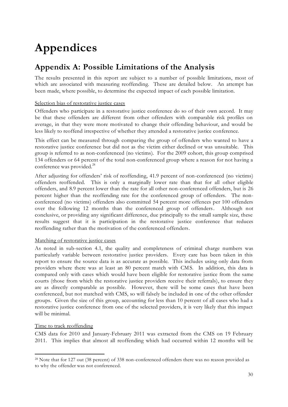## <span id="page-29-0"></span>**Appendices**

## <span id="page-29-1"></span>**Appendix A: Possible Limitations of the Analysis**

The results presented in this report are subject to a number of possible limitations, most of which are associated with measuring reoffending. These are detailed below. An attempt has been made, where possible, to determine the expected impact of each possible limitation.

#### Selection bias of restorative justice cases

Offenders who participate in a restorative justice conference do so of their own accord. It may be that these offenders are different from other offenders with comparable risk profiles on average, in that they were more motivated to change their offending behaviour, and would be less likely to reoffend irrespective of whether they attended a restorative justice conference.

This effect can be measured through comparing the group of offenders who wanted to have a restorative justice conference but did not as the victim either declined or was unsuitable. This group is referred to as non-conferenced (no victims). For the 2009 cohort, this group comprised 134 offenders or 64 percent of the total non-conferenced group where a reason for not having a conference was provided.<sup>28</sup>

After adjusting for offenders' risk of reoffending, 41.9 percent of non-conferenced (no victims) offenders reoffended. This is only a marginally lower rate than that for all other eligible offenders, and 8.9 percent lower than the rate for all other non-conferenced offenders, but is 26 percent higher than the reoffending rate for the conferenced group of offenders. The nonconferenced (no victims) offenders also committed 54 percent more offences per 100 offenders over the following 12 months than the conferenced group of offenders. Although not conclusive, or providing any significant difference, due principally to the small sample size, these results suggest that it is participation in the restorative justice conference that reduces reoffending rather than the motivation of the conferenced offenders.

#### Matching of restorative justice cases

As noted in sub-section 4.1, the quality and completeness of criminal charge numbers was particularly variable between restorative justice providers. Every care has been taken in this report to ensure the source data is as accurate as possible. This includes using only data from providers where there was at least an 80 percent match with CMS. In addition, this data is compared only with cases which would have been eligible for restorative justice from the same courts (those from which the restorative justice providers receive their referrals), to ensure they are as directly comparable as possible. However, there will be some cases that have been conferenced, but not matched with CMS, so will falsely be included in one of the other offender groups. Given the size of this group, accounting for less than 10 percent of all cases who had a restorative justice conference from one of the selected providers, it is very likely that this impact will be minimal.

#### Time to track reoffending

-

CMS data for 2010 and January-February 2011 was extracted from the CMS on 19 February 2011. This implies that almost all reoffending which had occurred within 12 months will be

<sup>28</sup> Note that for 127 out (38 percent) of 338 non-conferenced offenders there was no reason provided as to why the offender was not conferenced.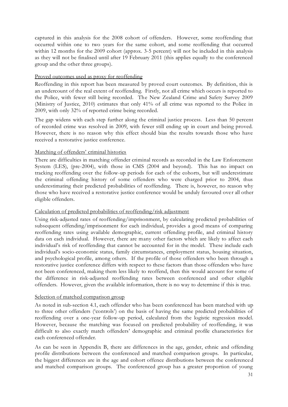captured in this analysis for the 2008 cohort of offenders. However, some reoffending that occurred within one to two years for the same cohort, and some reoffending that occurred within 12 months for the 2009 cohort (approx. 3-5 percent) will not be included in this analysis as they will not be finalised until after 19 February 2011 (this applies equally to the conferenced group and the other three groups).

#### Proved outcomes used as proxy for reoffending

Reoffending in this report has been measured by proved court outcomes. By definition, this is an undercount of the real extent of reoffending. Firstly, not all crime which occurs is reported to the Police, with fewer still being recorded. The New Zealand Crime and Safety Survey 2009 (Ministry of Justice, 2010) estimates that only 41% of all crime was reported to the Police in 2009, with only 32% of reported crime being recorded.

The gap widens with each step further along the criminal justice process. Less than 50 percent of recorded crime was resolved in 2009, with fewer still ending up in court and being proved. However, there is no reason why this effect should bias the results towards those who have received a restorative justice conference.

#### Matching of offenders' criminal histories

There are difficulties in matching offender criminal records as recorded in the Law Enforcement System (LES), (pre-2004), with those in CMS (2004 and beyond). This has no impact on tracking reoffending over the follow-up periods for each of the cohorts, but will underestimate the criminal offending history of some offenders who were charged prior to 2004, thus underestimating their predicted probabilities of reoffending. There is, however, no reason why those who have received a restorative justice conference would be unduly favoured over all other eligible offenders.

#### Calculation of predicted probabilities of reoffending/risk adjustment

Using risk-adjusted rates of reoffending/imprisonment, by calculating predicted probabilities of subsequent offending/imprisonment for each individual, provides a good means of comparing reoffending rates using available demographic, current offending profile, and criminal history data on each individual. However, there are many other factors which are likely to affect each individual's risk of reoffending that cannot be accounted for in the model. These include each individual's socio-economic status, family circumstances, employment status, housing situation, and psychological profile, among others. If the profile of those offenders who been through a restorative justice conference differs with respect to these factors than those offenders who have not been conferenced, making them less likely to reoffend, then this would account for some of the difference in risk-adjusted reoffending rates between conferenced and other eligible offenders. However, given the available information, there is no way to determine if this is true.

#### Selection of matched comparison group

As noted in sub-section 4.1, each offender who has been conferenced has been matched with up to three other offenders ('controls') on the basis of having the same predicted probabilities of reoffending over a one-year follow-up period, calculated from the logistic regression model. However, because the matching was focused on predicted probability of reoffending, it was difficult to also exactly match offenders' demographic and criminal profile characteristics for each conferenced offender.

As can be seen in Appendix B, there are differences in the age, gender, ethnic and offending profile distributions between the conferenced and matched comparison groups. In particular, the biggest differences are in the age and cohort offence distributions between the conferenced and matched comparison groups. The conferenced group has a greater proportion of young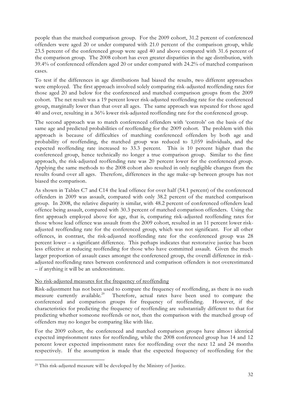people than the matched comparison group. For the 2009 cohort, 31.2 percent of conferenced offenders were aged 20 or under compared with 21.0 percent of the comparison group, while 23.5 percent of the conferenced group were aged 40 and above compared with 31.6 percent of the comparison group. The 2008 cohort has even greater disparities in the age distribution, with 39.4% of conferenced offenders aged 20 or under compared with 24.2% of matched comparison cases.

To test if the differences in age distributions had biased the results, two different approaches were employed. The first approach involved solely comparing risk-adjusted reoffending rates for those aged 20 and below for the conferenced and matched comparison groups from the 2009 cohort. The net result was a 19 percent lower risk-adjusted reoffending rate for the conferenced group, marginally lower than that over all ages. The same approach was repeated for those aged 40 and over, resulting in a 36% lower risk-adjusted reoffending rate for the conferenced group.

The second approach was to match conferenced offenders with 'controls' on the basis of the same age and predicted probabilities of reoffending for the 2009 cohort. The problem with this approach is because of difficulties of matching conferenced offenders by both age and probability of reoffending, the matched group was reduced to 1,059 individuals, and the expected reoffending rate increased to 33.3 percent. This is 10 percent higher than the conferenced group, hence technically no longer a true comparison group. Similar to the first approach, the risk-adjusted reoffending rate was 20 percent lower for the conferenced group. Applying the same methods to the 2008 cohort also resulted in only negligible changes from the results found over all ages. Therefore, differences in the age make-up between groups has not biased the comparison.

As shown in Tables C7 and C14 the lead offence for over half (54.1 percent) of the conferenced offenders in 2009 was assault, compared with only 38.2 percent of the matched comparison group. In 2008, the relative disparity is similar, with 48.2 percent of conferenced offenders lead offence being assault, compared with 30.3 percent of matched comparison offenders. Using the first approach employed above for age, that is, comparing risk-adjusted reoffending rates for those whose lead offence was assault from the 2009 cohort, resulted in an 11 percent lower riskadjusted reoffending rate for the conferenced group, which was not significant. For all other offences, in contrast, the risk-adjusted reoffending rate for the conferenced group was 28 percent lower – a significant difference. This perhaps indicates that restorative justice has been less effective at reducing reoffending for those who have committed assault. Given the much larger proportion of assault cases amongst the conferenced group, the overall difference in riskadjusted reoffending rates between conferenced and comparison offenders is not overestimated – if anything it will be an underestimate.

#### No risk-adjusted measures for the frequency of reoffending

Risk-adjustment has not been used to compare the frequency of reoffending, as there is no such measure currently available.<sup>29</sup> Therefore, actual rates have been used to compare the conferenced and comparison groups for frequency of reoffending. However, if the characteristics for predicting the frequency of reoffending are substantially different to that for predicting whether someone reoffends or not, then the comparison with the matched group of offenders may no longer be comparing like with like.

For the 2009 cohort, the conferenced and matched comparison groups have almost identical expected imprisonment rates for reoffending, while the 2008 conferenced group has 14 and 12 percent lower expected imprisonment rates for reoffending over the next 12 and 24 months respectively. If the assumption is made that the expected frequency of reoffending for the

-

<sup>29</sup> This risk-adjusted measure will be developed by the Ministry of Justice.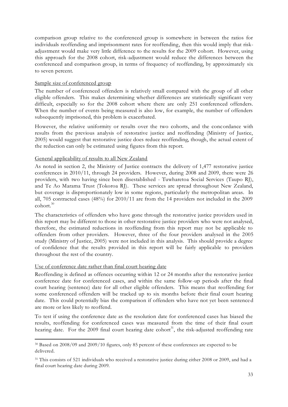comparison group relative to the conferenced group is somewhere in between the ratios for individuals reoffending and imprisonment rates for reoffending, then this would imply that riskadjustment would make very little difference to the results for the 2009 cohort. However, using this approach for the 2008 cohort, risk-adjustment would reduce the differences between the conferenced and comparison group, in terms of frequency of reoffending, by approximately six to seven percent.

#### Sample size of conferenced group

The number of conferenced offenders is relatively small compared with the group of all other eligible offenders. This makes determining whether differences are statistically significant very difficult, especially so for the 2008 cohort where there are only 251 conferenced offenders. When the number of events being measured is also low, for example, the number of offenders subsequently imprisoned, this problem is exacerbated.

However, the relative uniformity or results over the two cohorts, and the concordance with results from the previous analysis of restorative justice and reoffending (Ministry of Justice, 2005) would suggest that restorative justice does reduce reoffending, though, the actual extent of the reduction can only be estimated using figures from this report.

#### General applicability of results to all New Zealand

As noted in section 2, the Ministry of Justice contracts the delivery of 1,477 restorative justice conferences in 2010/11, through 24 providers. However, during 2008 and 2009, there were 26 providers, with two having since been disestablished - Tuwharetoa Social Services (Taupo RJ), and Te Ao Marama Trust (Tokoroa RJ). These services are spread throughout New Zealand, but coverage is disproportionately low in some regions, particularly the metropolitan areas. In all, 705 contracted cases (48%) for 2010/11 are from the 14 providers not included in the 2009 cohort.<sup>30</sup>

The characteristics of offenders who have gone through the restorative justice providers used in this report may be different to those in other restorative justice providers who were not analysed, therefore, the estimated reductions in reoffending from this report may not be applicable to offenders from other providers. However, three of the four providers analysed in the 2005 study (Ministry of Justice, 2005) were not included in this analysis. This should provide a degree of confidence that the results provided in this report will be fairly applicable to providers throughout the rest of the country.

#### Use of conference date rather than final court hearing date

-

Reoffending is defined as offences occurring within 12 or 24 months after the restorative justice conference date for conferenced cases, and within the same follow-up periods after the final court hearing (sentence) date for all other eligible offenders. This means that reoffending for some conferenced offenders will be tracked up to six months before their final court hearing date. This could potentially bias the comparison if offenders who have not yet been sentence d are more or less likely to reoffend.

To test if using the conference date as the resolution date for conferenced cases has biased the results, reoffending for conferenced cases was measured from the time of their final court hearing date. For the 2009 final court hearing date cohort<sup>31</sup>, the risk-adjusted reoffending rate

<sup>30</sup> Based on 2008/09 and 2009/10 figures, only 85 percent of these conferences are expected to be delivered.

<sup>&</sup>lt;sup>31</sup> This consists of 521 individuals who received a restorative justice during either 2008 or 2009, and had a final court hearing date during 2009.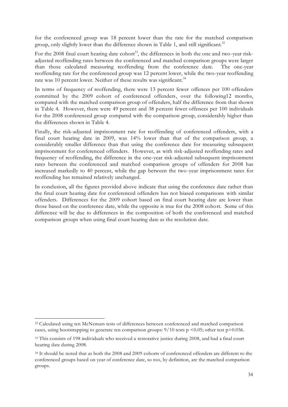for the conferenced group was 18 percent lower than the rate for the matched comparison group, only slightly lower than the difference shown in Table 1, and still significant.<sup>32</sup>

For the 2008 final court hearing date cohort<sup>33</sup>, the differences in both the one and two-year riskadjusted reoffending rates between the conferenced and matched comparison groups were larger than those calculated measuring reoffending from the conference date. The one-year reoffending rate for the conferenced group was 12 percent lower, while the two-year reoffending rate was 10 percent lower. Neither of these results was significant.<sup>34</sup>

In terms of frequency of reoffending, there were 13 percent fewer offences per 100 offenders committed by the 2009 cohort of conferenced offenders, over the following12 months, compared with the matched comparison group of offenders, half the difference from that shown in Table 4. However, there were 49 percent and 38 percent fewer offences per 100 individuals for the 2008 conferenced group compared with the comparison group, considerably higher than the differences shown in Table 4.

Finally, the risk-adjusted imprisonment rate for reoffending of conferenced offenders, with a final court hearing date in 2009, was 14% lower than that of the comparison group, a considerably smaller difference than that using the conference date for measuring subsequent imprisonment for conferenced offenders. However, as with risk-adjusted reoffending rates and frequency of reoffending, the difference in the one-year risk-adjusted subsequent imprisonment rates between the conferenced and matched comparison groups of offenders for 2008 has increased markedly to 40 percent, while the gap between the two-year imprisonment rates for reoffending has remained relatively unchanged.

In conclusion, all the figures provided above indicate that using the conference date rather than the final court hearing date for conferenced offenders has not biased comparisons with similar offenders. Differences for the 2009 cohort based on final court hearing date are lower than those based on the conference date, while the opposite is true for the 2008 cohort. Some of this difference will be due to differences in the composition of both the conferenced and matched comparison groups when using final court hearing date as the resolution date.

-

<sup>&</sup>lt;sup>32</sup> Calculated using ten McNemars tests of differences between conferenced and matched comparison cases, using bootstrapping to generate ten comparison groups:  $9/10$  tests p <0.05; other test p=0.056.

<sup>&</sup>lt;sup>33</sup> This consists of 198 individuals who received a restorative justice during 2008, and had a final court hearing date during 2008.

<sup>&</sup>lt;sup>34</sup> It should be noted that as both the 2008 and 2009 cohorts of conferenced offenders are different to the conferenced groups based on year of conference date, so too, by definition, are the matched comparison groups.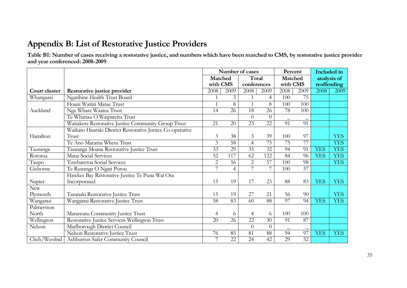## **Appendix B: List of Restorative Justice Providers**

**Table B1: Number of cases receiving a restorative justice, and numbers which have been matched to CMS, by restorative justice provider and year conferenced: 2008-2009**

<span id="page-34-1"></span><span id="page-34-0"></span>

|               |                                                           | Number of cases |                 |                 |                 |                 | Percent         | Included in |             |
|---------------|-----------------------------------------------------------|-----------------|-----------------|-----------------|-----------------|-----------------|-----------------|-------------|-------------|
|               |                                                           | Matched         |                 | Total           |                 | Matched         |                 |             | analysis of |
|               |                                                           | with CMS        |                 | conferences     |                 | with CMS        |                 |             | reoffending |
| Court cluster | Restorative justice provider                              | 2008            | 2009            | 2008            | 2009            | 2008            | 2009            | 2008        | 2009        |
| Whangarei     | Ngatihine Health Trust Board                              | $\mathbf{1}$    | 3               | $\mathbf{1}$    | $\overline{4}$  | 100             | $\overline{75}$ |             |             |
|               | Hoani Waititi Marae Trust                                 | $\mathbf{1}$    | 8               | $\mathbf{1}$    | 8               | 100             | 100             |             |             |
| Auckland      | Nga Whare Waatea Trust                                    | 14              | 26              | 18              | 26              | 78              | 100             |             |             |
|               | Te Whanau O Waipareira Trust                              |                 |                 | $\theta$        | $\theta$        |                 |                 |             |             |
|               | Waitakere Restorative Justice Community Group Trust       | 21              | 20              | $\overline{23}$ | $\overline{22}$ | 91              | 91              |             |             |
|               | Waikato Hauraki District Restorative Justice Co-operative |                 |                 |                 |                 |                 |                 |             |             |
| Hamilton      | Trust                                                     | 3               | 38              | 3               | 39              | 100             | 97              |             | <b>YES</b>  |
|               | Te Ano Marama Whetu Trust                                 | 3               | 58              | $\overline{4}$  | 75              | 75              | 77              |             | <b>YES</b>  |
| Tauranga      | Tauranga Moana Restorative Justice Trust                  | 33              | 29              | $\overline{35}$ | 32              | 94              | 91              | <b>YES</b>  | <b>YES</b>  |
| Rotorua       | Mana Social Services                                      | 52              | 117             | 62              | 122             | 84              | 96              | <b>YES</b>  | <b>YES</b>  |
| Taupo         | Tuwharetoa Social Services                                | $\overline{2}$  | 56              | $\overline{2}$  | 57              | 100             | 98              |             | <b>YES</b>  |
| Gisborne      | Te Runanga O Ngati Porou                                  | 7               | $\overline{4}$  | 7               | 7               | 100             | 57              |             |             |
|               | Hawkes Bay Restorative Justice Te Puna Wai Ora            |                 |                 |                 |                 |                 |                 |             |             |
| Napier        | Incorporated                                              | 15              | 19              | 17              | 23              | 88              | 83              | <b>YES</b>  | <b>YES</b>  |
| <b>New</b>    |                                                           |                 |                 |                 |                 |                 |                 |             |             |
| Plymouth      | Taranaki Restorative Justice Trust                        | 15              | 19              | 27              | 21              | 56              | 90              |             | <b>YES</b>  |
| Wanganui      | Wanganui Restorative Justice Trust                        | 58              | $\overline{83}$ | $\overline{60}$ | 88              | $\overline{97}$ | 94              | <b>YES</b>  | <b>YES</b>  |
| Palmerston    |                                                           |                 |                 |                 |                 |                 |                 |             |             |
| North         | Manawatu Community Justice Trust                          | $\overline{4}$  | 6               | $\overline{4}$  | 6               | 100             | 100             |             |             |
| Wellington    | Restorative Justice Services Wellington Trust             | 20              | $\overline{26}$ | $\overline{22}$ | $\overline{30}$ | 91              | $\overline{87}$ |             |             |
| Nelson        | Marlborough District Council                              |                 |                 | $\overline{0}$  | $\theta$        |                 |                 |             |             |
|               | Nelson Restorative Justice Trust                          | 76              | 85              | 81              | 88              | 94              | $\overline{97}$ | <b>YES</b>  | <b>YES</b>  |
| Chch/Westlnd  | Ashburton Safer Community Council                         | $\overline{7}$  | 22              | 24              | 42              | 29              | $\overline{52}$ |             |             |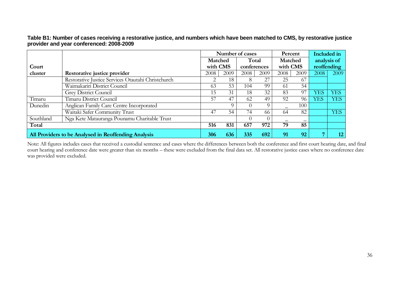|           |                                                      |          |          | Number of cases |          | Percent |          |            | <b>Included</b> in |
|-----------|------------------------------------------------------|----------|----------|-----------------|----------|---------|----------|------------|--------------------|
|           |                                                      | Matched  |          | Total           |          | Matched |          |            | analysis of        |
| Court     |                                                      | with CMS |          | conferences     |          |         | with CMS |            | reoffending        |
| cluster   | Restorative justice provider                         | 2008     | 2009     | 2008            | 2009     | 2008    | 2009     | 2008       | 2009               |
|           | Restorative Justice Services Otautahi Christchurch   | ⌒        | 18       | 8               | 27       | 25      | 67       |            |                    |
|           | Waimakariri District Council                         | 63       | 53       | 104             | 99       | -61     | 54       |            |                    |
|           | <b>Grey District Council</b>                         | 15       | 31       | 18              | 32       | 83      | 97       | <b>YES</b> | <b>YES</b>         |
| Timaru    | Timaru District Council                              | 57       | 47       | 62              | 49       | 92      | 96       | <b>YES</b> | <b>YES</b>         |
| Dunedin   | Anglican Family Care Centre Incorporated             |          | $\Omega$ | $\cup$          | $\Omega$ |         | 100      |            |                    |
|           | Waitaki Safer Community Trust                        | 47       | 54       | 74              | 66       | 64      | 82       |            | <b>YES</b>         |
| Southland | Nga Kete Matauranga Pounamu Charitable Trust         |          |          | $\Omega$        | $\Omega$ |         |          |            |                    |
| Total     |                                                      | 516      | 831      | 657             | 972      | 79      | 85       |            |                    |
|           | All Providers to be Analysed in Reoffending Analysis | 306      | 636      | 335             | 692      | 91      | 92       |            | 12                 |

**Table B1: Number of cases receiving a restorative justice, and numbers which have been matched to CMS, by restorative justice provider and year conferenced: 2008-2009**

Note: All figures includes cases that received a custodial sentence and cases where the differences between both the conference and first court hearing date, and final court hearing and conference date were greater than six months – these were excluded from the final data set. All restorative justice cases where no conference date was provided were excluded.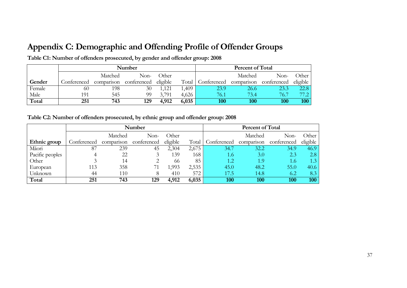## **Appendix C: Demographic and Offending Profile of Offender Groups**

|        |             |            | Number      |          | Percent of Total |             |            |             |          |
|--------|-------------|------------|-------------|----------|------------------|-------------|------------|-------------|----------|
|        |             | Matched    | Non-        | Other    |                  |             | Matched    | Non-        | Other    |
| Gender | Conferenced | comparison | conferenced | eligible | Total            | Conferenced | comparison | conferenced | eligible |
| Female | 60          | 198        | 30          | 1,121    | ,409             | 23.9        | 26.6       | 23.3        | 22.8     |
| Male   | 191         | 545        | 99          | 3,791    | 4,626            | 76.1        | 73.4       | 76.7        | 77 2 I   |
| Total  | 251         | 743        | 129         | 4,912    | 6,035            | 100         | 100        | 100         | 100      |

**Table C1: Number of offenders prosecuted, by gender and offender group: 2008**

**Table C2: Number of offenders prosecuted, by ethnic group and offender group: 2008**

<span id="page-36-2"></span><span id="page-36-1"></span><span id="page-36-0"></span>

|                 |             |            | <b>Number</b> |          | Percent of Total |               |            |             |          |
|-----------------|-------------|------------|---------------|----------|------------------|---------------|------------|-------------|----------|
|                 |             | Matched    | Non-          | Other    |                  |               | Matched    | Non-        | Other    |
| Ethnic group    | Conferenced | comparison | conferenced   | eligible | Total            | Conferenced   | comparison | conferenced | eligible |
| Māori           | 87          | 239        | 45            | 2,304    | 2,675            | 34.7          | 32.2       | 34.9        | 46.9     |
| Pacific peoples |             | 22         |               | 139      | 168              | 1.6           | 3.0        | 2.3         | 2.8      |
| Other           |             | 14         |               | 66       | 85               | $4.2^{\circ}$ | 4.9        | 1.6         | 1.3      |
| European        | 113         | 358        |               | .993     | 2,535            | 45.0          | 48.2       | 55.0        | 40.6     |
| Unknown         | 44          | 110        | 8             | 410      | 572              | 17.5          | 14.8       | 6.2         | 8.3      |
| Total           | 251         | 743        | 129           | 4,912    | 6,035            | 100           | 100        | 100         | 100      |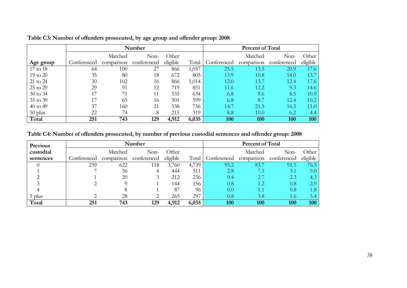|           |             |            | Number      |          | <b>Percent of Total</b> |             |            |             |          |
|-----------|-------------|------------|-------------|----------|-------------------------|-------------|------------|-------------|----------|
|           |             | Matched    | Non-        | Other    |                         |             | Matched    | Non-        | Other    |
| Age group | Conferenced | comparison | conferenced | eligible | Total                   | Conferenced | comparison | conferenced | eligible |
| 17 to 18  | 64          | 100        | 27          | 866      | 1,057                   | 25.5        | 13.5       | 20.9        | 17.6     |
| 19 to 20  | 35          | 80         | 18          | 672      | 805                     | 13.9        | 10.8       | 14.0        | 13.7     |
| 21 to 24  | 30          | 102        | 16          | 866      | 1,014                   | 12.0        | 13.7       | 12.4        | 17.6     |
| 25 to 29  | 29          | 91         | 12          | 719      | 851                     | 11.6        | 12.2       | 9.3         | 14.6     |
| 30 to 34  | 17          |            | 11          | 535      | 634                     | 6.8         | 9.6        | 8.5         | 10.9     |
| 35 to 39  | 17          | 65         | 16          | 501      | 599                     | 6.8         | 8.7        | 12.4        | 10.2     |
| 40 to 49  | 37          | 160        | 21          | 538      | 756                     | 14.7        | 21.5       | 16.3        | 11.0     |
| $50$ plus | 22          | 74         | 8           | 215      | 319                     | 8.8         | 10.0       | 6.2         | 4.4      |
| Total     | 251         | 743        | 129         | 4,912    | 6,035                   | 100         | 100        | 100         | 100      |

### **Table C3: Number of offenders prosecuted, by age group and offender group: 2008**

### **Table C4: Number of offenders prosecuted, by number of previous custodial sentences and offender group: 2008**

<span id="page-37-1"></span><span id="page-37-0"></span>

| Previous  |             |            | <b>Number</b> |          |       |             | <b>Percent of Total</b> |             |          |
|-----------|-------------|------------|---------------|----------|-------|-------------|-------------------------|-------------|----------|
| custodial |             | Matched    | Non-          | Other    |       |             | Matched                 | Non-        | Other    |
| sentences | Conferenced | comparison | conferenced   | eligible | Total | Conferenced | comparison              | conferenced | eligible |
|           | 239         | 622        | 118           | 3,760    | 4,739 | 95.2        | 83.7                    | 91.5        | 76.5     |
|           |             | 56         | 4             | 444      | 511   | 2.8         | ל./                     | 3.1         | 9.0      |
|           |             | 20         |               | 212      | 236   | 0.4         | 2.7                     | 2.3         | 4.3      |
|           |             |            |               | 144      | 156   | $0.8\,$     | 1.2                     | 0.8         | 2.9      |
|           |             |            |               | 87       | 96    | 0.0         | 1.1                     | 0.8         | 1.8      |
| 5 plus    |             | 28         | ⌒             | 265      | 297   | $0.8\,$     | 3.8                     | 1.67        |          |
| Total     | 251         | 743        | 129           | 4,912    | 6,035 | 100         | 100                     | 100         | 100      |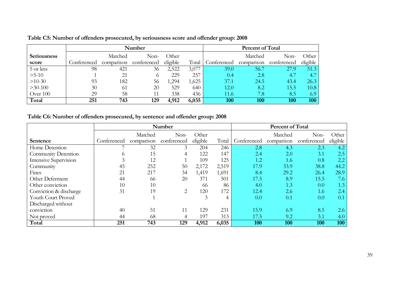|                    |             |            | Number      |          | Percent of Total |             |            |             |          |
|--------------------|-------------|------------|-------------|----------|------------------|-------------|------------|-------------|----------|
| <b>Seriousness</b> |             | Matched    | Non-        | Other    |                  |             | Matched    | Non-        | Other    |
| score              | Conferenced | comparison | conferenced | eligible | Total            | Conferenced | comparison | conferenced | eligible |
| 5 or less          | 98          | 421        | 36          | 2,522    | 3,077            | 39.0        | 56.7       | 27.9        | 51.3     |
| $>5-10$            |             | 21         | $\circ$     | 229      | 257              | 0.4         | 2.8        | 4.7         | 4.7      |
| $>10-30$           | 93          | 182        | 56          | ,294     | 1,625            | 37.1        | 24.5       | 43.4        | 26.3     |
| $>30-100$          | 30          | -61        | 20          | 529      | 640              | 12.0        | 8.2        | 15.5        | 10.8     |
| Over 100           | 29          | 58         | 11          | 338      | 436              | 11.6        | 7.8        | 8.5         | 6.9      |
| Total              | 251         | 743        | 129         | 4,912    | 6,035            | 100         | 100        | 100         | 100      |

### **Table C5: Number of offenders prosecuted, by seriousness score and offender group: 2008**

### **Table C6: Number of offenders prosecuted, by sentence and offender group: 2008**

<span id="page-38-1"></span><span id="page-38-0"></span>

|                        |             | <b>Percent of Total</b><br>Number |             |          |       |             |            |             |          |
|------------------------|-------------|-----------------------------------|-------------|----------|-------|-------------|------------|-------------|----------|
|                        |             | Matched                           | Non-        | Other    |       |             | Matched    | Non-        | Other    |
| Sentence               | Conferenced | comparison                        | conferenced | eligible | Total | Conferenced | comparison | conferenced | eligible |
| Home Detention         |             | 32                                | 3           | 204      | 246   | 2.8         | 4.3        | 2.3         | 4.2      |
| Community Detention    | $\sigma$    | 15                                | 4           | 122      | 147   | 2.4         | 2.0        | 3.1         | 2.5      |
| Intensive Supervision  |             | 12                                |             | 109      | 125   | 1.2         | 1.6        | 0.8         | 2.2      |
| Community              | 45          | 252                               | 50          | 2,172    | 2,519 | 17.9        | 33.9       | 38.8        | 44.2     |
| Fines                  | 21          | 217                               | 34          | 1,419    | 1,691 | 8.4         | 29.2       | 26.4        | 28.9     |
| Other Deferment        | 44          | 66                                | 20          | 371      | 501   | 17.5        | 8.9        | 15.5        | 7.6      |
| Other conviction       | 10          | 10                                |             | 66       | 86    | 4.0         | 1.3        | 0.0         | 1.3      |
| Conviction & discharge | 31          | 19                                | 2           | 120      | 172   | 12.4        | 2.6        | 1.6         | 2.4      |
| Youth Court Proved     |             |                                   |             | 3        | 4     | 0.0         | 0.1        | 0.0         | 0.1      |
| Discharged without     |             |                                   |             |          |       |             |            |             |          |
| conviction             | 40          | 51                                | 11          | 129      | 231   | 15.9        | 6.9        | 8.5         | 2.6      |
| Not proved             | 44          | 68                                |             | 197      | 313   | 17.5        | 9.2        | 3.1         | 4.0      |
| Total                  | 251         | 743                               | 129         | 4,912    | 6,035 | 100         | 100        | 100         | 100      |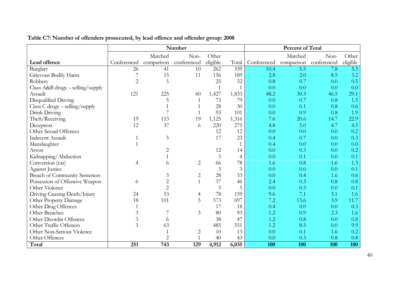<span id="page-39-0"></span>

|                                     |                |                | Number         |          |                |             | Percent of Total |             |          |
|-------------------------------------|----------------|----------------|----------------|----------|----------------|-------------|------------------|-------------|----------|
|                                     |                | Matched        | Non-           | Other    |                |             | Matched          | Non-        | Other    |
| Lead offence                        | Conferenced    | comparison     | conferenced    | eligible | Total          | Conferenced | comparison       | conferenced | eligible |
| Burglary                            | 26             | 41             | 10             | 262      | 339            | 10.4        | 5.5              | 7.8         | 5.3      |
| Grievous Bodily Harm                |                | 15             | 11             | 156      | 189            | 2.8         | 2.0              | 8.5         | 3.2      |
| Robbery                             | $\overline{2}$ | 5              |                | 25       | 32             | 0.8         | 0.7              | 0.0         | 0.5      |
| Class $A\&B$ drugs – selling/supply |                |                |                |          | $\mathbf{1}$   | 0.0         | 0.0              | 0.0         | 0.0      |
| Assault                             | 121            | 225            | 60             | 1,427    | 1,833          | 48.2        | 30.3             | 46.5        | 29.1     |
| Disqualified Driving                |                | 5              |                | 73       | 79             | 0.0         | 0.7              | 0.8         | 1.5      |
| Class $C$ drugs $-$ selling/supply  |                |                |                | 28       | 30             | 0.0         | 0.1              | 0.8         | 0.6      |
| Drink Driving                       |                |                | 1              | 93       | 101            | 0.0         | 0.9              | 0.8         | 1.9      |
| Theft/Receiving                     | 19             | 153            | 19             | 1,125    | 1,316          | 7.6         | 20.6             | 14.7        | 22.9     |
| Deception                           | 12             | 37             | 6              | 220      | 275            | 4.8         | 5.0              | 4.7         | 4.5      |
| Other Sexual Offences               |                |                |                | 12       | 12             | 0.0         | 0.0              | 0.0         | 0.2      |
| <b>Indecent Assault</b>             |                | 5              |                | 17       | 23             | 0.4         | 0.7              | 0.0         | 0.3      |
| Manslaughter                        |                |                |                |          |                | 0.4         | 0.0              | 0.0         | 0.0      |
| Arson                               |                | $\overline{2}$ |                | 12       | 14             | 0.0         | 0.3              | 0.0         | 0.2      |
| Kidnapping/Abduction                |                |                |                | 3        | $\overline{4}$ | 0.0         | 0.1              | 0.0         | 0.1      |
| Conversion (car)                    | 4              | 6              | $\overline{2}$ | 66       | 78             | 1.6         | 0.8              | 1.6         | 1.3      |
| <b>Against Justice</b>              |                |                |                | 3        | 3              | 0.0         | 0.0              | 0.0         | 0.1      |
| Breach of Community Sentences       |                | $\mathfrak{Z}$ | 2              | 28       | 33             | 0.0         | 0.4              | 1.6         | 0.6      |
| Possession of Offensive Weapon      | 6              | $\overline{2}$ | $\mathbf{1}$   | 37       | 46             | 2.4         | 0.3              | 0.8         | 0.8      |
| Other Violence                      |                | $\overline{2}$ |                | 3        | 5              | 0.0         | 0.3              | 0.0         | 0.1      |
| Driving Causing Death/Injury        | 24             | 53             | 4              | 78       | 159            | 9.6         | 7.1              | 3.1         | 1.6      |
| Other Property Damage               | 18             | 101            | 5              | 573      | 697            | 7.2         | 13.6             | 3.9         | 11.7     |
| Other Drug Offences                 |                |                |                | 17       | 18             | 0.4         | 0.0              | 0.0         | 0.3      |
| Other Breaches                      | 3              |                | $\mathfrak{Z}$ | 80       | 93             | 1.2         | 0.9              | 2.3         | 1.6      |
| Other Disorder Offences             | $\mathfrak{Z}$ | 6              |                | 38       | 47             | 1.2         | 0.8              | 0.0         | 0.8      |
| Other Traffic Offences              | $\overline{3}$ | 63             |                | 485      | 551            | 1.2         | 8.5              | 0.0         | 9.9      |
| Other Non-Serious Violence          |                |                | $\overline{2}$ | 10       | 13             | 0.0         | 0.1              | 1.6         | 0.2      |
| Other Offences                      |                | $\overline{2}$ |                | 40       | 43             | 0.0         | 0.3              | 0.8         | 0.8      |
| Total                               | 251            | 743            | 129            | 4,912    | 6,035          | 100         | 100              | 100         | 100      |

**Table C7: Number of offenders prosecuted, by lead offence and offender group: 2008**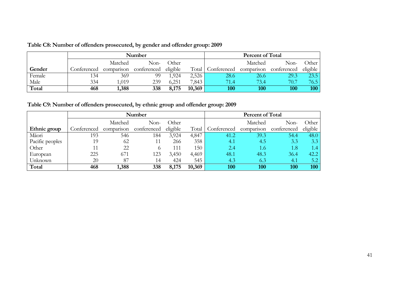|        |             |         | Number                 |          |        | Percent of Total                   |         |      |          |
|--------|-------------|---------|------------------------|----------|--------|------------------------------------|---------|------|----------|
|        |             | Matched | Non-                   | Other    |        |                                    | Matched | Non- | Other    |
| Gender | Conferenced |         | comparison conferenced | eligible | Total  | Conferenced comparison conferenced |         |      | eligible |
| Female | 134         | 369     | 99                     | .924     | 2,526  | 28.6                               | 26.6    | 29.3 | 23.5     |
| Male   | 334         | 1,019   | 239                    | 6,251    | 7,843  | 71.4                               | 73.4    | 70.7 | 76.5     |
| Total  | 468         | 1,388   | 338                    | 8,175    | 10,369 | 100                                | 100     | 100  | 100      |

**Table C8: Number of offenders prosecuted, by gender and offender group: 2009**

**Table C9: Number of offenders prosecuted, by ethnic group and offender group: 2009**

<span id="page-40-1"></span><span id="page-40-0"></span>

|                 |             |            | Number      | Percent of Total |        |             |            |                  |          |
|-----------------|-------------|------------|-------------|------------------|--------|-------------|------------|------------------|----------|
|                 |             | Matched    | Non-        | Other            |        |             | Matched    | Non-             | Other    |
| Ethnic group    | Conferenced | comparison | conferenced | eligible         | Total  | Conferenced | comparison | conferenced      | eligible |
| Māori           | 193         | 546        | 184         | 3,924            | 4,847  | 41.2        | 39.3       | 54.4             | 48.0     |
| Pacific peoples | 19          | 62         |             | 266              | 358    | 4.1         | 4.5        | 3.3              | 3.3      |
| Other           | 11          | 22         |             | 111              | 150    | 2.4         | 1.6        | $4.8^{\prime}$   | 1.4      |
| European        | 225         | 671        | 123         | 3,450            | 4,469  | 48.1        | 48.3       | 36.4             | 42.2     |
| Unknown         | 20          | 87         | 14          | 424              | 545    | 4.3         | 6.3        | $\overline{4.1}$ | 5.2      |
| Total           | 468         | 1,388      | 338         | 8,175            | 10,369 | 100         | 100        | 100              | 100      |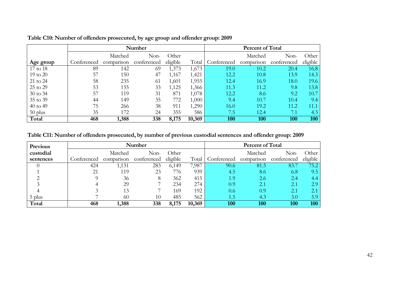|           |             |            | Number      |          |        | <b>Percent of Total</b> |            |             |          |  |
|-----------|-------------|------------|-------------|----------|--------|-------------------------|------------|-------------|----------|--|
|           |             | Matched    | Non-        | Other    |        |                         | Matched    | Non-        | Other    |  |
| Age group | Conferenced | comparison | conferenced | eligible | Total  | Conferenced             | comparison | conterenced | eligible |  |
| 17 to 18  | 89          | 142        | 69          | 1,373    | 1,673  | 19.0                    | 10.2       | 20.4        | 16.8     |  |
| 19 to 20  | 57          | 150        | 47          | 1,167    | 1,421  | 12.2                    | 10.8       | 13.9        | 14.3     |  |
| 21 to 24  | 58          | 235        | 61          | 1,601    | 1,955  | 12.4                    | 16.9       | 18.0        | 19.6     |  |
| 25 to 29  | 53          | 155        | 33          | 1,125    | 1,366  | 11.3                    | 11.2       | 9.8         | 13.8     |  |
| 30 to 34  | 57          | 119        | 31          | 871      | 1,078  | 12.2                    | 8.6        | 9.2         | 10.7     |  |
| 35 to 39  | 44          | 149        | 35          | 772      | 1,000  | 9.4                     | 10.7       | 10.4        | 9.4      |  |
| 40 to 49  | 75          | 266        | 38          | 911      | 1,290  | 16.0                    | 19.2       | 11.2        | 11.1     |  |
| $50$ plus | 35          | 172        | 24          | 355      | 586    | 7.5                     | 12.4       | 7.1         | 4.3      |  |
| Total     | 468         | 1,388      | 338         | 8,175    | 10,369 | 100                     | 100        | 100         | 100      |  |

**Table C10: Number of offenders prosecuted, by age group and offender group: 2009**

**Table C11: Number of offenders prosecuted, by number of previous custodial sentences and offender group: 2009**

<span id="page-41-1"></span><span id="page-41-0"></span>

| <b>Previous</b> |             |            | Number      | Percent of Total |        |             |            |             |          |
|-----------------|-------------|------------|-------------|------------------|--------|-------------|------------|-------------|----------|
| custodial       |             | Matched    | Non-        | Other            |        |             | Matched    | Non-        | Other    |
| sentences       | Conferenced | comparison | conterenced | eligible         | Total  | Conferenced | comparison | conferenced | eligible |
|                 | 424         | 1,131      | 283         | 6,149            | 7,987  | 90.6        | 81.5       | 83.7        | 75.2     |
|                 | 21          | 119        | 23          | 776              | 939    | 4.5         | 8.6        | 6.8         | 9.5      |
|                 |             | 36         | 8           | 362              | 415    | 1.9         | 2.6        | 2.4         | 4.4      |
|                 |             | 29         |             | 234              | 274    | 0.9         | 2.1        | 2.1         | 2.9      |
|                 |             | 13         |             | 169              | 192    | 0.6         | 0.9        | 2.1         | ◠        |
| 5 plus          |             | 60         | 10          | 485              | 562    | 1.5         | 4.3        | 3.0         | 5.9      |
| Total           | 468         | 1,388      | 338         | 8,175            | 10,369 | 100         | 100        | 100         | 100      |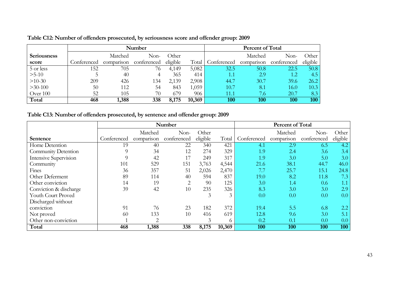|                    |             |            | Number      |          | <b>Percent of Total</b> |             |            |             |          |
|--------------------|-------------|------------|-------------|----------|-------------------------|-------------|------------|-------------|----------|
| <b>Seriousness</b> |             | Matched    | Non-        | Other    |                         |             | Matched    | Non-        | Other    |
| score              | Conferenced | comparison | conferenced | eligible | Total                   | Conterenced | comparison | conferenced | eligible |
| 5 or less          | 152         | 705        | 76          | 4,149    | 5,082                   | 32.5        | 50.8       | 22.5        | 50.8     |
| $>5-10$            |             | 40         |             | 365      | 414                     | 1.1         | 2.9        | 1.2         | 4.5      |
| $>10-30$           | 209         | 426        | 134         | 2,139    | 2,908                   | 44.7        | 30.7       | 39.6        | 26.2     |
| $>30-100$          | 50          | 112        | 54          | 843      | 1,059                   | 10.7        | 8.1        | 16.0        | 10.3     |
| Over 100           | 52          | 105        | 70          | 679      | 906                     | l 1.1       | 7.6        | 20.7        | 8.3      |
| Total              | 468         | 1,388      | 338         | 8,175    | 10,369                  | 100         | 100        | 100         | 100      |

**Table C12: Number of offenders prosecuted, by seriousness score and offender group: 2009**

**Table C13: Number of offenders prosecuted, by sentence and offender group: 2009**

<span id="page-42-1"></span><span id="page-42-0"></span>

|                        | Number      |                |             |          |        | Percent of Total |            |             |          |
|------------------------|-------------|----------------|-------------|----------|--------|------------------|------------|-------------|----------|
|                        |             | Matched        | Non-        | Other    |        |                  | Matched    | Non-        | Other    |
| Sentence               | Conferenced | comparison     | conferenced | eligible | Total  | Conferenced      | comparison | conferenced | eligible |
| Home Detention         | 19          | 40             | 22          | 340      | 421    | 4.1              | 2.9        | 6.5         | 4.2      |
| Community Detention    | 9           | 34             | 12          | 274      | 329    | 1.9              | 2.4        | 3.6         | 3.4      |
| Intensive Supervision  |             | 42             |             | 249      | 317    | 1.9              | 3.0        | 5.0         | 3.0      |
| Community              | 101         | 529            | 151         | 3,763    | 4,544  | 21.6             | 38.1       | 44.7        | 46.0     |
| Fines                  | 36          | 357            | 51          | 2,026    | 2,470  | 7.7              | 25.7       | 15.1        | 24.8     |
| Other Deferment        | 89          | 114            | 40          | 594      | 837    | 19.0             | 8.2        | 11.8        | 7.3      |
| Other conviction       | 14          | 19             | 2           | 90       | 125    | 3.0              | 1.4        | 0.6         | 1.1      |
| Conviction & discharge | 39          | 42             | 10          | 235      | 326    | 8.3              | 3.0        | 3.0         | 2.9      |
| Youth Court Proved     |             |                |             | 3        | 3      | 0.0              | 0.0        | 0.0         | 0.0      |
| Discharged without     |             |                |             |          |        |                  |            |             |          |
| conviction             | 91          | 76             | 23          | 182      | 372    | 19.4             | 5.5        | 6.8         | 2.2      |
| Not proved             | 60          | 133            | 10          | 416      | 619    | 12.8             | 9.6        | 3.0         | 5.1      |
| Other non-conviction   |             | $\overline{2}$ |             | 3        | 6      | 0.2              | 0.1        | 0.0         | 0.0      |
| Total                  | 468         | 1,388          | 338         | 8,175    | 10,369 | 100              | 100        | 100         | 100      |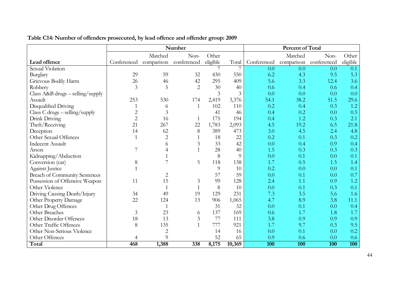<span id="page-43-0"></span>

|                                      |                |                | Number         |          |        |             | Percent of Total |                        |                  |
|--------------------------------------|----------------|----------------|----------------|----------|--------|-------------|------------------|------------------------|------------------|
|                                      |                | Matched        | Non-           | Other    |        |             | Matched          | Non-                   | Other            |
| Lead offence                         | Conferenced    | comparison     | conferenced    | eligible | Total  | Conferenced |                  | comparison conferenced | eligible         |
| Sexual Violation                     |                |                |                |          |        | 0.0         | 0.0              | 0.0                    | 0.1              |
| Burglary                             | 29             | 59             | 32             | 430      | 550    | 6.2         | 4.3              | 9.5                    | 5.3              |
| Grievous Bodily Harm                 | 26             | 46             | 42             | 295      | 409    | 5.6         | 3.3              | 12.4                   | 3.6              |
| Robbery                              | 3              | 5              | $\overline{2}$ | 30       | 40     | 0.6         | 0.4              | 0.6                    | 0.4              |
| Class $A\&B$ drugs – selling/supply  |                |                |                | 3        | 3      | 0.0         | 0.0              | 0.0                    | 0.0              |
| Assault                              | 253            | 530            | 174            | 2,419    | 3,376  | 54.1        | 38.2             | 51.5                   | 29.6             |
| Disqualified Driving                 |                | 6              | $\mathbf{1}$   | 102      | 110    | 0.2         | 0.4              | 0.3                    | 1.2              |
| Class C drugs - selling/supply       | $\overline{c}$ | 3              |                | 41       | 46     | 0.4         | 0.2              | 0.0                    | 0.5              |
| Drink Driving                        | $\overline{2}$ | 16             | 1              | 175      | 194    | 0.4         | 1.2              | 0.3                    | 2.1              |
| Theft/Receiving                      | 21             | 267            | 22             | 1,783    | 2,093  | 4.5         | 19.2             | 6.5                    | 21.8             |
| Deception                            | 14             | 62             | $8\,$          | 389      | 473    | 3.0         | 4.5              | 2.4                    | 4.8              |
| Other Sexual Offences                |                | $\overline{2}$ |                | 18       | 22     | 0.2         | 0.1              | 0.3                    | 0.2              |
| <b>Indecent Assault</b>              |                | 6              | 3              | 33       | 42     | 0.0         | 0.4              | 0.9                    | 0.4              |
| Arson                                | 7              | 4              | $\mathbf{1}$   | 28       | 40     | 1.5         | 0.3              | 0.3                    | 0.3              |
| Kidnapping/Abduction                 |                |                |                | 8        | 9      | 0.0         | 0.1              | 0.0                    | 0.1              |
| Conversion (car)                     | 8              |                | 5              | 118      | 138    | 1.7         | 0.5              | 1.5                    | 1.4              |
| <b>Against Justice</b>               |                |                |                | 9        | 10     | 0.2         | 0.0              | 0.0                    | 0.1              |
| <b>Breach of Community Sentences</b> |                | $\overline{2}$ |                | 57       | 59     | 0.0         | 0.1              | 0.0                    | 0.7              |
| Possession of Offensive Weapon       | 11             | 15             | 3              | 99       | 128    | 2.4         | 1.1              | 0.9                    | 1.2              |
| Other Violence                       |                |                |                | 8        | 10     | 0.0         | 0.1              | 0.3                    | 0.1              |
| Driving Causing Death/Injury         | 34             | 49             | 19             | 129      | 231    | 7.3         | 3.5              | 5.6                    | 1.6              |
| Other Property Damage                | 22             | 124            | 13             | 906      | 1,065  | 4.7         | 8.9              | 3.8                    | 11.1             |
| Other Drug Offences                  |                | 1              |                | 31       | 32     | 0.0         | 0.1              | 0.0                    | 0.4              |
| Other Breaches                       | $\mathfrak{Z}$ | 23             | 6              | 137      | 169    | 0.6         | 1.7              | 1.8                    | 1.7              |
| Other Disorder Offences              | 18             | 13             | $\mathfrak{Z}$ | 77       | 111    | 3.8         | 0.9              | 0.9                    | 0.9              |
| Other Traffic Offences               | 8              | 135            | $\mathbf{1}$   | 777      | 921    | 1.7         | 9.7              | 0.3                    | 9.5              |
| Other Non-Serious Violence           |                | $\overline{2}$ |                | 14       | 16     | 0.0         | 0.1              | 0.0                    | 0.2              |
| Other Offences                       | 4              | 9              |                | 52       | 65     | 0.9         | 0.6              | 0.0                    | 0.6              |
| Total                                | 468            | 1,388          | 338            | 8,175    | 10,369 | <b>100</b>  | <b>100</b>       | 100                    | $\overline{100}$ |

### **Table C14: Number of offenders prosecuted, by lead offence and offender group: 2009**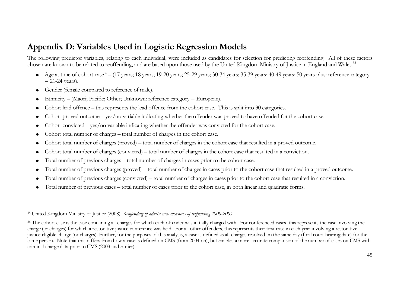## **Appendix D: Variables Used in Logistic Regression Models**

The following predictor variables, relating to each individual, were included as candidates for selection for predicting reoffending. All of these factors chosen are known to be related to reoffending, and are based upon those used by the United Kingdom Ministry of Justice in England and Wales.<sup>35</sup>

- Age at time of cohort case<sup>36</sup> (17 years; 18 years; 19-20 years; 25-29 years; 30-34 years; 35-39 years; 40-49 years; 50 years plus: reference category  $= 21-24$  years).
- Gender (female compared to reference of male).  $\bullet$

 $\overline{a}$ 

- Ethnicity (Māori; Pacific; Other; Unknown: reference category = European).  $\bullet$
- Cohort lead offence this represents the lead offence from the cohort case. This is split into 30 categories.
- Cohort proved outcome yes/no variable indicating whether the offender was proved to have offended for the cohort case.
- Cohort convicted yes/no variable indicating whether the offender was convicted for the cohort case.
- Cohort total number of charges total number of charges in the cohort case.
- Cohort total number of charges (proved) total number of charges in the cohort case that resulted in a proved outcome.
- Cohort total number of charges (convicted) total number of charges in the cohort case that resulted in a conviction.
- <span id="page-44-0"></span>Total number of previous charges – total number of charges in cases prior to the cohort case.  $\bullet$
- Total number of previous charges (proved) total number of charges in cases prior to the cohort case that resulted in a proved outcome.
- Total number of previous charges (convicted) total number of charges in cases prior to the cohort case that resulted in a conviction.
- Total number of previous cases total number of cases prior to the cohort case, in both linear and quadratic forms.  $\bullet$

<sup>35</sup> United Kingdom Ministry of Justice (2008). *Reoffending of adults: new measures of reoffending 2000-2005*.

<sup>&</sup>lt;sup>36</sup> The cohort case is the case containing all charges for which each offender was initially charged with. For conferenced cases, this represents the case involving the charge (or charges) for which a restorative justice conference was held. For all other offenders, this represents their first case in each year involving a restorative justice-eligible charge (or charges). Further, for the purposes of this analysis, a case is defined as all charges resolved on the same day (final court hearing date) for the same person. Note that this differs from how a case is defined on CMS (from 2004 on), but enables a more accurate comparison of the number of cases on CMS with criminal charge data prior to CMS (2003 and earlier).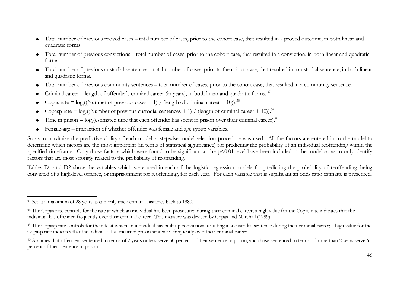- Total number of previous proved cases total number of cases, prior to the cohort case, that resulted in a proved outcome, in both linear and quadratic forms.
- Total number of previous convictions total number of cases, prior to the cohort case, that resulted in a conviction, in both linear and quadratic forms.
- Total number of previous custodial sentences total number of cases, prior to the cohort case, that resulted in a custodial sentence, in both linear and quadratic forms.
- Total number of previous community sentences total number of cases, prior to the cohort case, that resulted in a community sentence.  $\bullet$
- Criminal career length of offender's criminal career (in years), in both linear and quadratic forms.<sup>37</sup>
- Copas rate =  $log_e((\text{Number of previous cases} + 1) / (length of criminal career + 10))$ .<sup>38</sup>
- Copasp rate =  $log_e((Number of previous custoidal sentences + 1) / (length of criminal career + 10)).$ <sup>39</sup>
- Time in prison  $=$   $\log_e$  (estimated time that each offender has spent in prison over their criminal career).<sup>40</sup>
- Female-age interaction of whether offender was female and age group variables.

So as to maximise the predictive ability of each model, a stepwise model selection procedure was used. All the factors are entered in to the model to determine which factors are the most important (in terms of statistical significance) for predicting the probability of an individual reoffending within the specified timeframe. Only those factors which were found to be significant at the p<0.01 level have been included in the model so as to only identify factors that are most strongly related to the probability of reoffending.

Tables D1 and D2 show the variables which were used in each of the logistic regression models for predicting the probability of reoffending, being convicted of a high-level offence, or imprisonment for reoffending, for each year. For each variable that is significant an odds ratio estimate is presented.

<sup>&</sup>lt;u>.</u> <sup>37</sup> Set at a maximum of 28 years as can only track criminal histories back to 1980.

<sup>&</sup>lt;sup>38</sup> The Copas rate controls for the rate at which an individual has been prosecuted during their criminal career; a high value for the Copas rate indicates that the individual has offended frequently over their criminal career. This measure was devised by Copas and Marshall (1999).

<sup>&</sup>lt;sup>39</sup> The Copasp rate controls for the rate at which an individual has built up convictions resulting in a custodial sentence during their criminal career; a high value for the Copasp rate indicates that the individual has incurred prison sentences frequently over their criminal career.

<sup>&</sup>lt;sup>40</sup> Assumes that offenders sentenced to terms of 2 years or less serve 50 percent of their sentence in prison, and those sentenced to terms of more than 2 years serve 65 percent of their sentence in prison.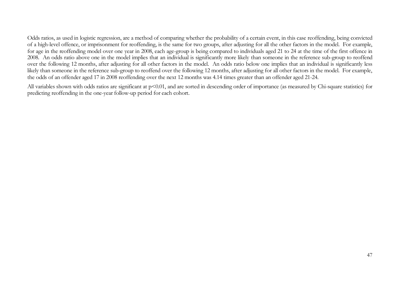Odds ratios, as used in logistic regression, are a method of comparing whether the probability of a certain event, in this case reoffending, being convicted of a high-level offence, or imprisonment for reoffending, is the same for two groups, after adjusting for all the other factors in the model. For example, for age in the reoffending model over one year in 2008, each age-group is being compared to individuals aged 21 to 24 at the time of the first offence in 2008. An odds ratio above one in the model implies that an individual is significantly more likely than someone in the reference sub-group to reoffend over the following 12 months, after adjusting for all other factors in the model. An odds ratio below one implies that an individual is significantly less likely than someone in the reference sub-group to reoffend over the following 12 months, after adjusting for all other factors in the model. For example, the odds of an offender aged 17 in 2008 reoffending over the next 12 months was 4.14 times greater than an offender aged 21-24.

All variables shown with odds ratios are significant at p<0.01, and are sorted in descending order of importance (as measured by Chi-square statistics) for predicting reoffending in the one-year follow-up period for each cohort.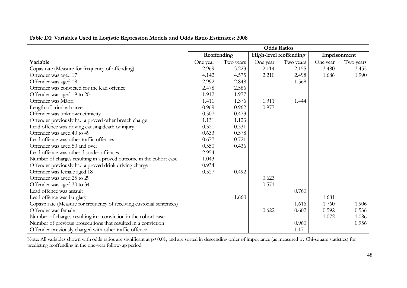|                                                                      | <b>Odds Ratios</b> |           |          |                        |              |           |  |  |
|----------------------------------------------------------------------|--------------------|-----------|----------|------------------------|--------------|-----------|--|--|
|                                                                      | Reoffending        |           |          | High-level reoffending | Imprisonment |           |  |  |
| Variable                                                             | One year           | Two years | One year | Two years              | One year     | Two years |  |  |
| Copas rate (Measure for frequency of offending)                      | 2.969              | 3.223     | 2.114    | 2.155                  | 3.480        | 3.455     |  |  |
| Offender was aged 17                                                 | 4.142              | 4.575     | 2.210    | 2.498                  | 1.686        | 1.990     |  |  |
| Offender was aged 18                                                 | 2.992              | 2.848     |          | 1.568                  |              |           |  |  |
| Offender was convicted for the lead offence                          | 2.478              | 2.586     |          |                        |              |           |  |  |
| Offender was aged 19 to 20                                           | 1.912              | 1.977     |          |                        |              |           |  |  |
| Offender was Māori                                                   | 1.411              | 1.376     | 1.311    | 1.444                  |              |           |  |  |
| Length of criminal career                                            | 0.969              | 0.962     | 0.977    |                        |              |           |  |  |
| Offender was unknown ethnicity                                       | 0.507              | 0.473     |          |                        |              |           |  |  |
| Offender previously had a proved other breach charge                 | 1.131              | 1.123     |          |                        |              |           |  |  |
| Lead offence was driving causing death or injury                     | 0.321              | 0.331     |          |                        |              |           |  |  |
| Offender was aged 40 to 49                                           | 0.633              | 0.578     |          |                        |              |           |  |  |
| Lead offence was other traffic offences                              | 0.677              | 0.721     |          |                        |              |           |  |  |
| Offender was aged 50 and over                                        | 0.550              | 0.436     |          |                        |              |           |  |  |
| Lead offence was other disorder offences                             | 2.954              |           |          |                        |              |           |  |  |
| Number of charges resulting in a proved outcome in the cohort case   | 1.043              |           |          |                        |              |           |  |  |
| Offender previously had a proved drink driving charge                | 0.934              |           |          |                        |              |           |  |  |
| Offender was female aged 18                                          | 0.527              | 0.492     |          |                        |              |           |  |  |
| Offender was aged 25 to 29                                           |                    |           | 0.623    |                        |              |           |  |  |
| Offender was aged 30 to 34                                           |                    |           | 0.571    |                        |              |           |  |  |
| Lead offence was assault                                             |                    |           |          | 0.760                  |              |           |  |  |
| Lead offence was burglary                                            |                    | 1.660     |          |                        | 1.681        |           |  |  |
| Copasp rate (Measure for frequency of receiving custodial sentences) |                    |           |          | 1.616                  | 1.760        | 1.906     |  |  |
| Offender was female                                                  |                    |           | 0.622    | 0.602                  | 0.592        | 0.536     |  |  |
| Number of charges resulting in a conviction in the cohort case       |                    |           |          |                        | 1.072        | 1.086     |  |  |
| Number of previous prosecutions that resulted in a conviction        |                    |           |          | 0.960                  |              | 0.956     |  |  |
| Offender previously charged with other traffic offence               |                    |           |          | 1.171                  |              |           |  |  |

**Table D1: Variables Used in Logistic Regression Models and Odds Ratio Estimates: 2008**

<span id="page-47-0"></span>Note: All variables shown with odds ratios are significant at p<0.01, and are sorted in descending order of importance (as measured by Chi-square statistics) for predicting reoffending in the one-year follow-up period.